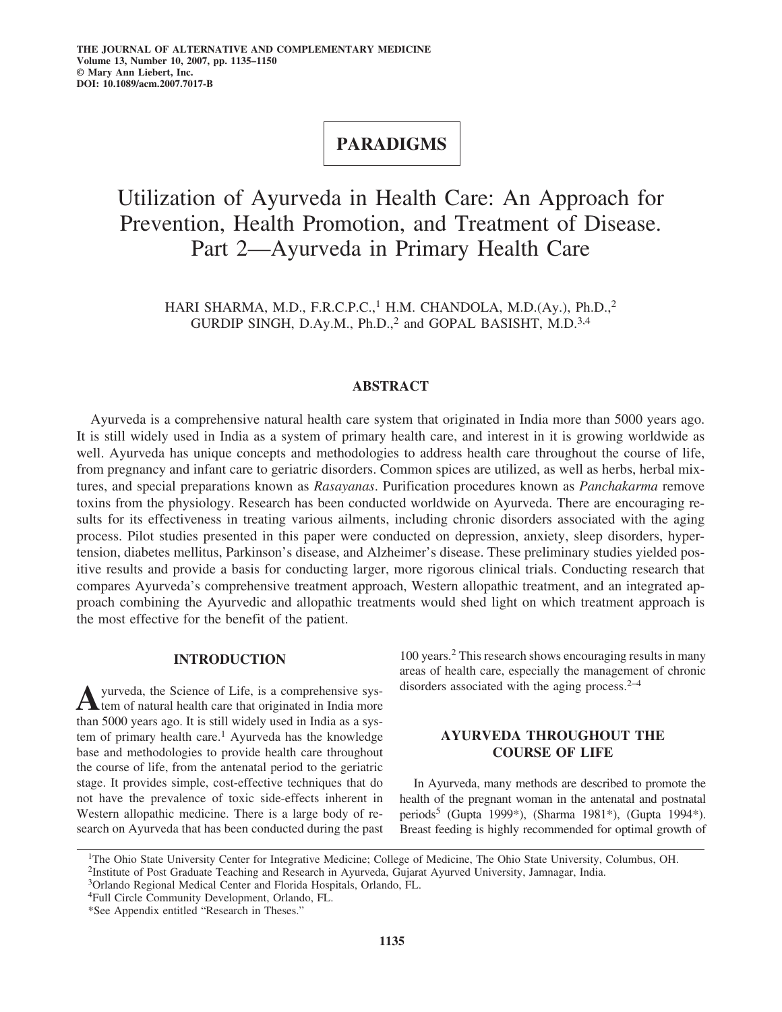## **PARADIGMS**

# Utilization of Ayurveda in Health Care: An Approach for Prevention, Health Promotion, and Treatment of Disease. Part 2—Ayurveda in Primary Health Care

HARI SHARMA, M.D., F.R.C.P.C.,<sup>1</sup> H.M. CHANDOLA, M.D.(Ay.), Ph.D.,<sup>2</sup> GURDIP SINGH, D.Ay.M., Ph.D.,<sup>2</sup> and GOPAL BASISHT, M.D.<sup>3,4</sup>

## **ABSTRACT**

Ayurveda is a comprehensive natural health care system that originated in India more than 5000 years ago. It is still widely used in India as a system of primary health care, and interest in it is growing worldwide as well. Ayurveda has unique concepts and methodologies to address health care throughout the course of life, from pregnancy and infant care to geriatric disorders. Common spices are utilized, as well as herbs, herbal mixtures, and special preparations known as *Rasayanas*. Purification procedures known as *Panchakarma* remove toxins from the physiology. Research has been conducted worldwide on Ayurveda. There are encouraging results for its effectiveness in treating various ailments, including chronic disorders associated with the aging process. Pilot studies presented in this paper were conducted on depression, anxiety, sleep disorders, hypertension, diabetes mellitus, Parkinson's disease, and Alzheimer's disease. These preliminary studies yielded positive results and provide a basis for conducting larger, more rigorous clinical trials. Conducting research that compares Ayurveda's comprehensive treatment approach, Western allopathic treatment, and an integrated approach combining the Ayurvedic and allopathic treatments would shed light on which treatment approach is the most effective for the benefit of the patient.

## **INTRODUCTION**

A yurveda, the Science of Life, is a comprehensive system of natural health care that originated in India more than 5000 years ago. It is still widely used in India as a system of primary health care.<sup>1</sup> Ayurveda has the knowledge base and methodologies to provide health care throughout the course of life, from the antenatal period to the geriatric stage. It provides simple, cost-effective techniques that do not have the prevalence of toxic side-effects inherent in Western allopathic medicine. There is a large body of research on Ayurveda that has been conducted during the past 100 years.<sup>2</sup> This research shows encouraging results in many areas of health care, especially the management of chronic disorders associated with the aging process. $2-4$ 

## **AYURVEDA THROUGHOUT THE COURSE OF LIFE**

In Ayurveda, many methods are described to promote the health of the pregnant woman in the antenatal and postnatal periods5 (Gupta 1999\*), (Sharma 1981\*), (Gupta 1994\*). Breast feeding is highly recommended for optimal growth of

1The Ohio State University Center for Integrative Medicine; College of Medicine, The Ohio State University, Columbus, OH. <sup>2</sup>Institute of Post Graduate Teaching and Research in Ayurveda, Gujarat Ayurved University, Jamnagar, India.

4Full Circle Community Development, Orlando, FL.

<sup>3</sup>Orlando Regional Medical Center and Florida Hospitals, Orlando, FL.

<sup>\*</sup>See Appendix entitled "Research in Theses."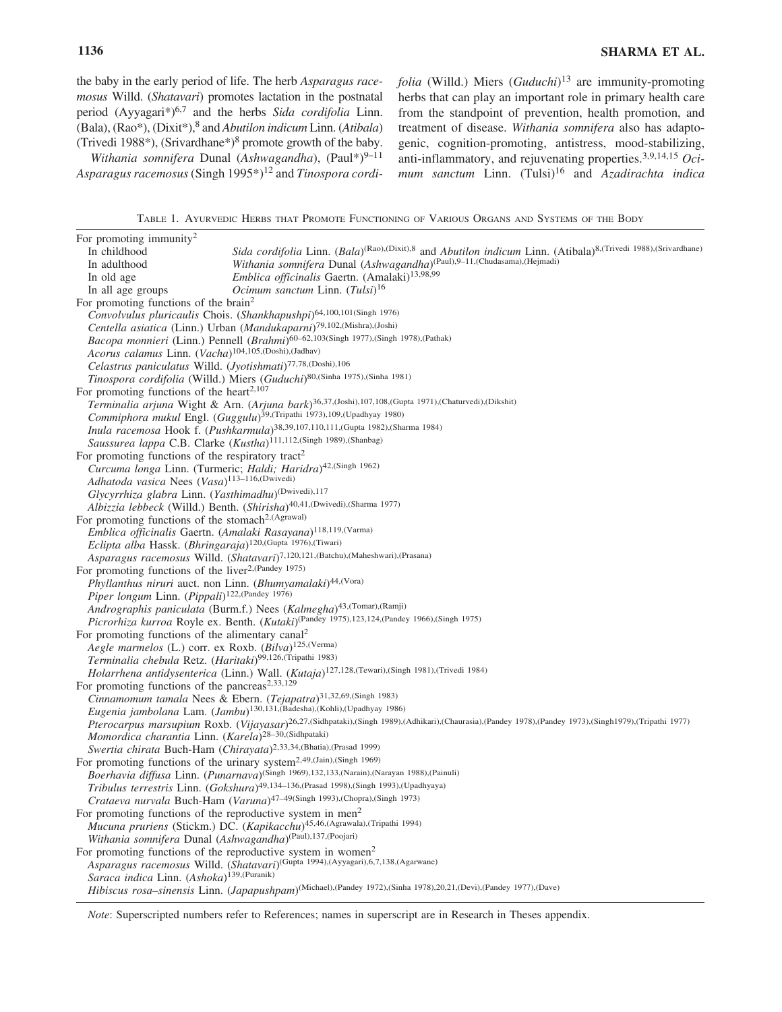the baby in the early period of life. The herb *Asparagus racemosus* Willd. (*Shatavari*) promotes lactation in the postnatal period (Ayyagari\*)6,7 and the herbs *Sida cordifolia* Linn. (Bala), (Rao\*), (Dixit\*),8 and *Abutilon indicum* Linn. (*Atibala*) (Trivedi 1988\*), (Srivardhane\*)<sup>8</sup> promote growth of the baby.

*Withania somnifera Dunal (Ashwagandha)*, (Paul\*)<sup>9-11</sup> Asparagus racemosus (Singh 1995<sup>\*</sup>)<sup>12</sup> and *Tinospora cordi*- *folia* (Willd.) Miers (*Guduchi*)<sup>13</sup> are immunity-promoting herbs that can play an important role in primary health care from the standpoint of prevention, health promotion, and treatment of disease. *Withania somnifera* also has adaptogenic, cognition-promoting, antistress, mood-stabilizing, anti-inflammatory, and rejuvenating properties.3,9,14,15 *Ocimum sanctum* Linn. (Tulsi)<sup>16</sup> and *Azadirachta indica*

TABLE 1. AYURVEDIC HERBS THAT PROMOTE FUNCTIONING OF VARIOUS ORGANS AND SYSTEMS OF THE BODY

| For promoting immunity <sup>2</sup>                                     |                                                                                                                                                                   |
|-------------------------------------------------------------------------|-------------------------------------------------------------------------------------------------------------------------------------------------------------------|
| In childhood                                                            | Sida cordifolia Linn. (Bala) <sup>(Rao)</sup> ,(Dixit),8 and Abutilon indicum Linn. (Atibala) <sup>8,(Trivedi 1988),(Srivardhane)</sup>                           |
| In adulthood                                                            | Withania somnifera Dunal (Ashwagandha) <sup>(Paul),9-11,(Chudasama),(Hejmadi)</sup>                                                                               |
| In old age                                                              | Emblica officinalis Gaertn. (Amalaki) <sup>13,98,99</sup>                                                                                                         |
| In all age groups                                                       | <i>Ocimum sanctum Linn.</i> $(Tulsi)^{16}$                                                                                                                        |
| For promoting functions of the brain <sup>2</sup>                       |                                                                                                                                                                   |
|                                                                         | Convolvulus pluricaulis Chois. (Shankhapushpi) <sup>64,100,101(Singh 1976)</sup>                                                                                  |
|                                                                         | Centella asiatica (Linn.) Urban (Mandukaparni) <sup>79,102</sup> , (Mishra), (Joshi)                                                                              |
|                                                                         | Bacopa monnieri (Linn.) Pennell (Brahmi) <sup>60-62,103(Singh 1977),(Singh 1978),(Pathak)</sup>                                                                   |
| Acorus calamus Linn. (Vacha) <sup>104,105</sup> , (Doshi), (Jadhav)     |                                                                                                                                                                   |
| Celastrus paniculatus Willd. (Jyotishmati) <sup>77,78,(Doshi),106</sup> |                                                                                                                                                                   |
|                                                                         | Tinospora cordifolia (Willd.) Miers (Guduchi)80,(Sinha 1975),(Sinha 1981)                                                                                         |
| For promoting functions of the heart <sup>2,107</sup>                   |                                                                                                                                                                   |
|                                                                         | Terminalia arjuna Wight & Arn. (Arjuna bark) <sup>36,37,(Joshi),107,108,(Gupta 1971),(Chaturvedi),(Dikshit)</sup>                                                 |
|                                                                         | Commiphora mukul Engl. (Guggulu) <sup>39,(Tripathi 1973),109,(Upadhyay 1980)</sup>                                                                                |
|                                                                         | Inula racemosa Hook f. (Pushkarmula) <sup>38,39,107,110,111,(Gupta 1982),(Sharma 1984)</sup>                                                                      |
|                                                                         | Saussurea lappa C.B. Clarke (Kustha) <sup>111,112</sup> ,(Singh 1989),(Shanbag)                                                                                   |
| For promoting functions of the respiratory tract <sup>2</sup>           |                                                                                                                                                                   |
|                                                                         | Curcuma longa Linn. (Turmeric; Haldi; Haridra) <sup>42,(Singh 1962)</sup>                                                                                         |
| Adhatoda vasica Nees (Vasa) <sup>113-116,(Dwivedi)</sup>                |                                                                                                                                                                   |
| Glycyrrhiza glabra Linn. (Yasthimadhu) <sup>(Dwivedi),117</sup>         |                                                                                                                                                                   |
|                                                                         | Albizzia lebbeck (Willd.) Benth. (Shirisha) <sup>40,41</sup> , (Dwivedi), (Sharma 1977)                                                                           |
| For promoting functions of the stomach <sup>2,(Agrawal)</sup>           |                                                                                                                                                                   |
|                                                                         | Emblica officinalis Gaertn. (Amalaki Rasayana) <sup>118,119, (Varma)</sup>                                                                                        |
| Eclipta alba Hassk. (Bhringaraja) <sup>120,(Gupta 1976),(Tiwari)</sup>  |                                                                                                                                                                   |
|                                                                         | Asparagus racemosus Willd. (Shatavari) <sup>7,120,121,(Batchu),(Maheshwari),(Prasana)</sup>                                                                       |
| For promoting functions of the liver <sup>2,(Pandey 1975)</sup>         |                                                                                                                                                                   |
|                                                                         | Phyllanthus niruri auct. non Linn. (Bhumyamalaki)44,(Vora)                                                                                                        |
| Piper longum Linn. (Pippali) <sup>122,(Pandey 1976)</sup>               |                                                                                                                                                                   |
|                                                                         | Andrographis paniculata (Burm.f.) Nees (Kalmegha)43,(Tomar),(Ramji)                                                                                               |
|                                                                         | Picrorhiza kurroa Royle ex. Benth. (Kutaki)(Pandey 1975),123,124,(Pandey 1966),(Singh 1975)                                                                       |
| For promoting functions of the alimentary canal <sup>2</sup>            |                                                                                                                                                                   |
| Aegle marmelos (L.) corr. ex Roxb. (Bilva) <sup>125,(Verma)</sup>       |                                                                                                                                                                   |
| Terminalia chebula Retz. (Haritaki) <sup>99,126,(Tripathi 1983)</sup>   |                                                                                                                                                                   |
|                                                                         | Holarrhena antidysenterica (Linn.) Wall. (Kutaja) <sup>127,128,</sup> (Tewari),(Singh 1981),(Trivedi 1984)                                                        |
| For promoting functions of the pancreas <sup>2,33,129</sup>             |                                                                                                                                                                   |
|                                                                         | Cinnamomum tamala Nees & Ebern. (Tejapatra) <sup>31,32,69,(Singh 1983)</sup>                                                                                      |
|                                                                         | Eugenia jambolana Lam. (Jambu) <sup>130,131</sup> , (Badesha), (Kohli), (Upadhyay 1986)                                                                           |
|                                                                         | Pterocarpus marsupium Roxb. (Vijayasar) <sup>26,27,(Sidhpataki),(Singh 1989),(Adhikari),(Chaurasia),(Pandey 1978),(Pandey 1973),(Singh1979),(Tripathi 1977)</sup> |
| Momordica charantia Linn. (Karela) <sup>28-30,(Sidhpataki)</sup>        |                                                                                                                                                                   |
|                                                                         | Swertia chirata Buch-Ham (Chirayata) <sup>2,33,34</sup> , (Bhatia), (Prasad 1999)                                                                                 |
|                                                                         | For promoting functions of the urinary system <sup>2,49,(Jain)</sup> ,(Singh 1969)                                                                                |
|                                                                         | Boerhavia diffusa Linn. (Punarnava) <sup>(Singh 1969),132,133, (Narain), (Narayan 1988), (Painuli)</sup>                                                          |
|                                                                         | Tribulus terrestris Linn. (Gokshura) <sup>49,134-136</sup> , (Prasad 1998), (Singh 1993), (Upadhyaya)                                                             |
|                                                                         | Crataeva nurvala Buch-Ham (Varuna)47-49(Singh 1993),(Chopra),(Singh 1973)                                                                                         |
| For promoting functions of the reproductive system in men <sup>2</sup>  |                                                                                                                                                                   |
|                                                                         | Mucuna pruriens (Stickm.) DC. (Kapikacchu)45,46,(Agrawala),(Tripathi 1994)                                                                                        |
| Withania somnifera Dunal (Ashwagandha) <sup>(Paul),137,(Poojari)</sup>  |                                                                                                                                                                   |
|                                                                         | For promoting functions of the reproductive system in women <sup>2</sup>                                                                                          |
|                                                                         | Asparagus racemosus Willd. (Shatavari)(Gupta 1994),(Ayyagari),6,7,138,(Agarwane)                                                                                  |
| Saraca indica Linn. (Ashoka) <sup>139,(Puranik)</sup>                   |                                                                                                                                                                   |
|                                                                         | Hibiscus rosa-sinensis Linn. (Japapushpam) <sup>(Michael)</sup> ,(Pandey 1972),(Sinha 1978),20,21,(Devi),(Pandey 1977),(Dave)                                     |
|                                                                         |                                                                                                                                                                   |

*Note*: Superscripted numbers refer to References; names in superscript are in Research in Theses appendix.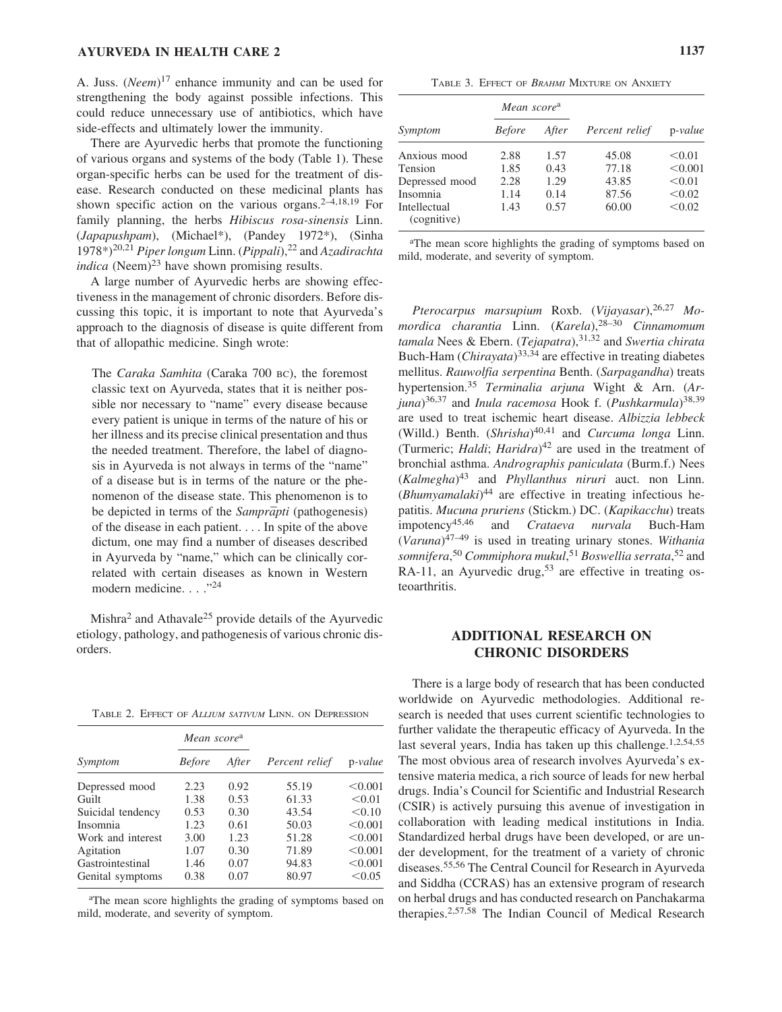A. Juss. (*Neem*)<sup>17</sup> enhance immunity and can be used for strengthening the body against possible infections. This could reduce unnecessary use of antibiotics, which have side-effects and ultimately lower the immunity.

There are Ayurvedic herbs that promote the functioning of various organs and systems of the body (Table 1). These organ-specific herbs can be used for the treatment of disease. Research conducted on these medicinal plants has shown specific action on the various organs. $2-4,18,19$  For family planning, the herbs *Hibiscus rosa-sinensis* Linn. (*Japapushpam*), (Michael\*), (Pandey 1972\*), (Sinha 1978\*)20,21 *Piper longum* Linn. (*Pippali*),<sup>22</sup> and *Azadirachta indica* (Neem) $^{23}$  have shown promising results.

A large number of Ayurvedic herbs are showing effectiveness in the management of chronic disorders. Before discussing this topic, it is important to note that Ayurveda's approach to the diagnosis of disease is quite different from that of allopathic medicine. Singh wrote:

The *Caraka Samhita* (Caraka 700 BC), the foremost classic text on Ayurveda, states that it is neither possible nor necessary to "name" every disease because every patient is unique in terms of the nature of his or her illness and its precise clinical presentation and thus the needed treatment. Therefore, the label of diagnosis in Ayurveda is not always in terms of the "name" of a disease but is in terms of the nature or the phenomenon of the disease state. This phenomenon is to be depicted in terms of the *Samprapti* (pathogenesis) of the disease in each patient. . . . In spite of the above dictum, one may find a number of diseases described in Ayurveda by "name," which can be clinically correlated with certain diseases as known in Western modern medicine. . . . "<sup>24</sup>

 $Mishra<sup>2</sup>$  and Athavale<sup>25</sup> provide details of the Ayurvedic etiology, pathology, and pathogenesis of various chronic disorders.

TABLE 2. EFFECT OF *ALLIUM SATIVUM* LINN. ON DEPRESSION

|                   | Mean score <sup>a</sup> |       |                | $p-value$ |
|-------------------|-------------------------|-------|----------------|-----------|
| Symptom           | <i>Before</i>           | After | Percent relief |           |
| Depressed mood    | 2.23                    | 0.92  | 55.19          | < 0.001   |
| Guilt             | 1.38                    | 0.53  | 61.33          | < 0.01    |
| Suicidal tendency | 0.53                    | 0.30  | 43.54          | < 0.10    |
| Insomnia          | 1.23                    | 0.61  | 50.03          | < 0.001   |
| Work and interest | 3.00                    | 1.23  | 51.28          | < 0.001   |
| Agitation         | 1.07                    | 0.30  | 71.89          | < 0.001   |
| Gastrointestinal  | 1.46                    | 0.07  | 94.83          | < 0.001   |
| Genital symptoms  | 0.38                    | 0.07  | 80.97          | < 0.05    |

<sup>a</sup>The mean score highlights the grading of symptoms based on mild, moderate, and severity of symptom.

TABLE 3. EFFECT OF *BRAHMI* MIXTURE ON ANXIETY

|                             | Mean score <sup>a</sup> |       | Percent relief | p-value |
|-----------------------------|-------------------------|-------|----------------|---------|
| Symptom                     | <i>Before</i>           | After |                |         |
| Anxious mood                | 2.88                    | 1.57  | 45.08          | < 0.01  |
| Tension                     | 1.85                    | 0.43  | 77.18          | < 0.001 |
| Depressed mood              | 2.28                    | 1.29  | 43.85          | < 0.01  |
| Insomnia                    | 1.14                    | 0.14  | 87.56          | < 0.02  |
| Intellectual<br>(cognitive) | 1.43                    | 0.57  | 60.00          | < 0.02  |

<sup>a</sup>The mean score highlights the grading of symptoms based on mild, moderate, and severity of symptom.

*Pterocarpus marsupium* Roxb. (*Vijayasar*),26,27 *Momordica charantia* Linn. (*Karela*),28–30 *Cinnamomum tamala* Nees & Ebern. (*Tejapatra*),31,32 and *Swertia chirata* Buch-Ham (*Chirayata*)33,34 are effective in treating diabetes mellitus. *Rauwolfia serpentina* Benth. (*Sarpagandha*) treats hypertension.35 *Terminalia arjuna* Wight & Arn. (*Arjuna*)36,37 and *Inula racemosa* Hook f. (*Pushkarmula*)38,39 are used to treat ischemic heart disease. *Albizzia lebbeck* (Willd.) Benth. (*Shrisha*)<sup>40,41</sup> and *Curcuma longa* Linn. (Turmeric; *Haldi*; *Haridra*)<sup>42</sup> are used in the treatment of bronchial asthma. *Andrographis paniculata* (Burm.f.) Nees (*Kalmegha*)<sup>43</sup> and *Phyllanthus niruri* auct. non Linn. (*Bhumyamalaki*)<sup>44</sup> are effective in treating infectious hepatitis. *Mucuna pruriens* (Stickm.) DC. (*Kapikacchu*) treats impotency45,46 and *Crataeva nurvala* Buch-Ham (*Varuna*)47–49 is used in treating urinary stones. *Withania somnifera*, <sup>50</sup> *Commiphora mukul*, <sup>51</sup> *Boswellia serrata*, <sup>52</sup> and RA-11, an Ayurvedic drug,<sup>53</sup> are effective in treating osteoarthritis.

### **ADDITIONAL RESEARCH ON CHRONIC DISORDERS**

There is a large body of research that has been conducted worldwide on Ayurvedic methodologies. Additional research is needed that uses current scientific technologies to further validate the therapeutic efficacy of Ayurveda. In the last several years, India has taken up this challenge.<sup>1,2,54,55</sup> The most obvious area of research involves Ayurveda's extensive materia medica, a rich source of leads for new herbal drugs. India's Council for Scientific and Industrial Research (CSIR) is actively pursuing this avenue of investigation in collaboration with leading medical institutions in India. Standardized herbal drugs have been developed, or are under development, for the treatment of a variety of chronic diseases.55,56 The Central Council for Research in Ayurveda and Siddha (CCRAS) has an extensive program of research on herbal drugs and has conducted research on Panchakarma therapies.2,57,58 The Indian Council of Medical Research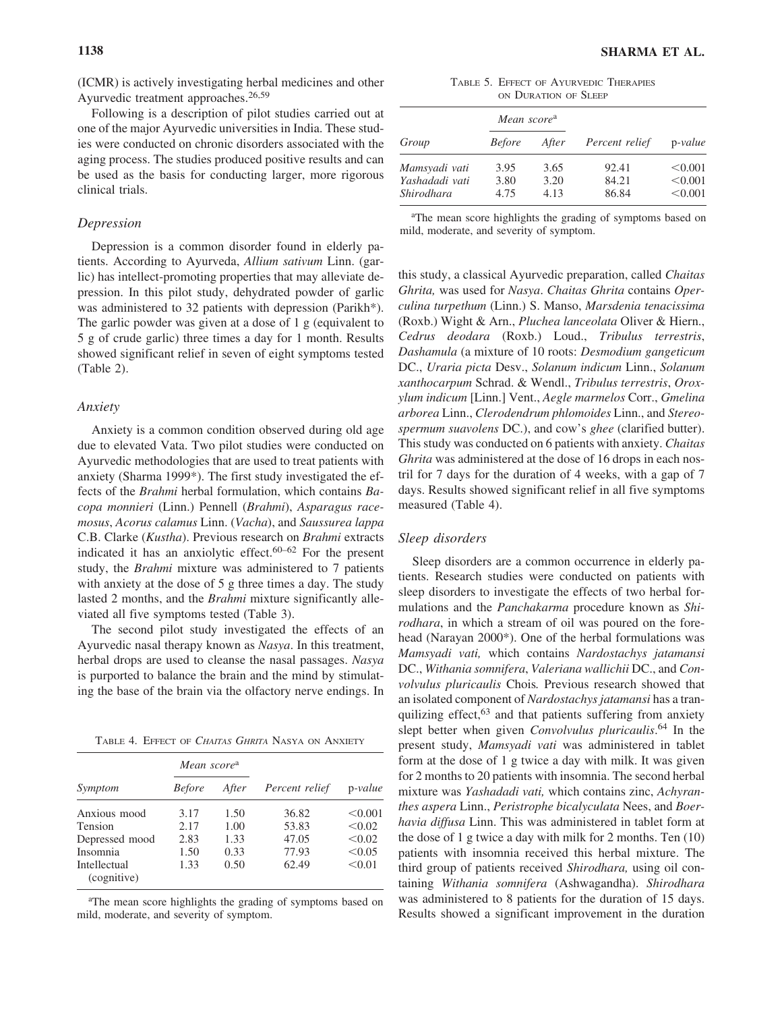(ICMR) is actively investigating herbal medicines and other Ayurvedic treatment approaches.<sup>26,59</sup>

Following is a description of pilot studies carried out at one of the major Ayurvedic universities in India. These studies were conducted on chronic disorders associated with the aging process. The studies produced positive results and can be used as the basis for conducting larger, more rigorous clinical trials.

#### *Depression*

Depression is a common disorder found in elderly patients. According to Ayurveda, *Allium sativum* Linn. (garlic) has intellect-promoting properties that may alleviate depression. In this pilot study, dehydrated powder of garlic was administered to 32 patients with depression (Parikh\*). The garlic powder was given at a dose of 1 g (equivalent to 5 g of crude garlic) three times a day for 1 month. Results showed significant relief in seven of eight symptoms tested (Table 2).

#### *Anxiety*

Anxiety is a common condition observed during old age due to elevated Vata. Two pilot studies were conducted on Ayurvedic methodologies that are used to treat patients with anxiety (Sharma 1999\*). The first study investigated the effects of the *Brahmi* herbal formulation, which contains *Bacopa monnieri* (Linn.) Pennell (*Brahmi*), *Asparagus racemosus*, *Acorus calamus* Linn. (*Vacha*), and *Saussurea lappa* C.B. Clarke (*Kustha*). Previous research on *Brahmi* extracts indicated it has an anxiolytic effect.<sup>60–62</sup> For the present study, the *Brahmi* mixture was administered to 7 patients with anxiety at the dose of 5 g three times a day. The study lasted 2 months, and the *Brahmi* mixture significantly alleviated all five symptoms tested (Table 3).

The second pilot study investigated the effects of an Ayurvedic nasal therapy known as *Nasya*. In this treatment, herbal drops are used to cleanse the nasal passages. *Nasya* is purported to balance the brain and the mind by stimulating the base of the brain via the olfactory nerve endings. In

TABLE 4. EFFECT OF *CHAITAS GHRITA* NASYA ON ANXIETY

|                             | Mean score <sup>a</sup> |       |                |           |
|-----------------------------|-------------------------|-------|----------------|-----------|
| Symptom                     | <i>Before</i>           | After | Percent relief | $p-value$ |
| Anxious mood                | 3.17                    | 1.50  | 36.82          | < 0.001   |
| Tension                     | 2.17                    | 1.00  | 53.83          | < 0.02    |
| Depressed mood              | 2.83                    | 1.33  | 47.05          | < 0.02    |
| Insomnia                    | 1.50                    | 0.33  | 77.93          | < 0.05    |
| Intellectual<br>(cognitive) | 1.33                    | 0.50  | 62.49          | < 0.01    |

<sup>a</sup>The mean score highlights the grading of symptoms based on mild, moderate, and severity of symptom.

TABLE 5. EFFECT OF AYURVEDIC THERAPIES ON DURATION OF SLEEP

|                | Mean score <sup>a</sup> |       |                |           |
|----------------|-------------------------|-------|----------------|-----------|
| Group          | <i>Before</i>           | After | Percent relief | $p-value$ |
| Mamsyadi vati  | 3.95                    | 3.65  | 92.41          | < 0.001   |
| Yashadadi vati | 3.80                    | 3.20  | 84.21          | < 0.001   |
| Shirodhara     | 4.75                    | 4.13  | 86.84          | < 0.001   |

<sup>a</sup>The mean score highlights the grading of symptoms based on mild, moderate, and severity of symptom.

this study, a classical Ayurvedic preparation, called *Chaitas Ghrita,* was used for *Nasya*. *Chaitas Ghrita* contains *Operculina turpethum* (Linn.) S. Manso, *Marsdenia tenacissima* (Roxb.) Wight & Arn., *Pluchea lanceolata* Oliver & Hiern., *Cedrus deodara* (Roxb.) Loud., *Tribulus terrestris*, *Dashamula* (a mixture of 10 roots: *Desmodium gangeticum* DC., *Uraria picta* Desv., *Solanum indicum* Linn., *Solanum xanthocarpum* Schrad. & Wendl., *Tribulus terrestris*, *Oroxylum indicum* [Linn.] Vent., *Aegle marmelos* Corr., *Gmelina arborea* Linn., *Clerodendrum phlomoides* Linn., and *Stereospermum suavolens* DC.), and cow's *ghee* (clarified butter). This study was conducted on 6 patients with anxiety. *Chaitas Ghrita* was administered at the dose of 16 drops in each nostril for 7 days for the duration of 4 weeks, with a gap of 7 days. Results showed significant relief in all five symptoms measured (Table 4).

#### *Sleep disorders*

Sleep disorders are a common occurrence in elderly patients. Research studies were conducted on patients with sleep disorders to investigate the effects of two herbal formulations and the *Panchakarma* procedure known as *Shirodhara*, in which a stream of oil was poured on the forehead (Narayan 2000\*). One of the herbal formulations was *Mamsyadi vati,* which contains *Nardostachys jatamansi* DC., *Withania somnifera*, *Valeriana wallichii* DC., and *Convolvulus pluricaulis* Chois*.* Previous research showed that an isolated component of *Nardostachys jatamansi* has a tranquilizing effect,  $63$  and that patients suffering from anxiety slept better when given *Convolvulus pluricaulis*. <sup>64</sup> In the present study, *Mamsyadi vati* was administered in tablet form at the dose of 1 g twice a day with milk. It was given for 2 months to 20 patients with insomnia. The second herbal mixture was *Yashadadi vati,* which contains zinc, *Achyranthes aspera* Linn., *Peristrophe bicalyculata* Nees, and *Boerhavia diffusa* Linn. This was administered in tablet form at the dose of 1 g twice a day with milk for 2 months. Ten (10) patients with insomnia received this herbal mixture. The third group of patients received *Shirodhara,* using oil containing *Withania somnifera* (Ashwagandha). *Shirodhara* was administered to 8 patients for the duration of 15 days. Results showed a significant improvement in the duration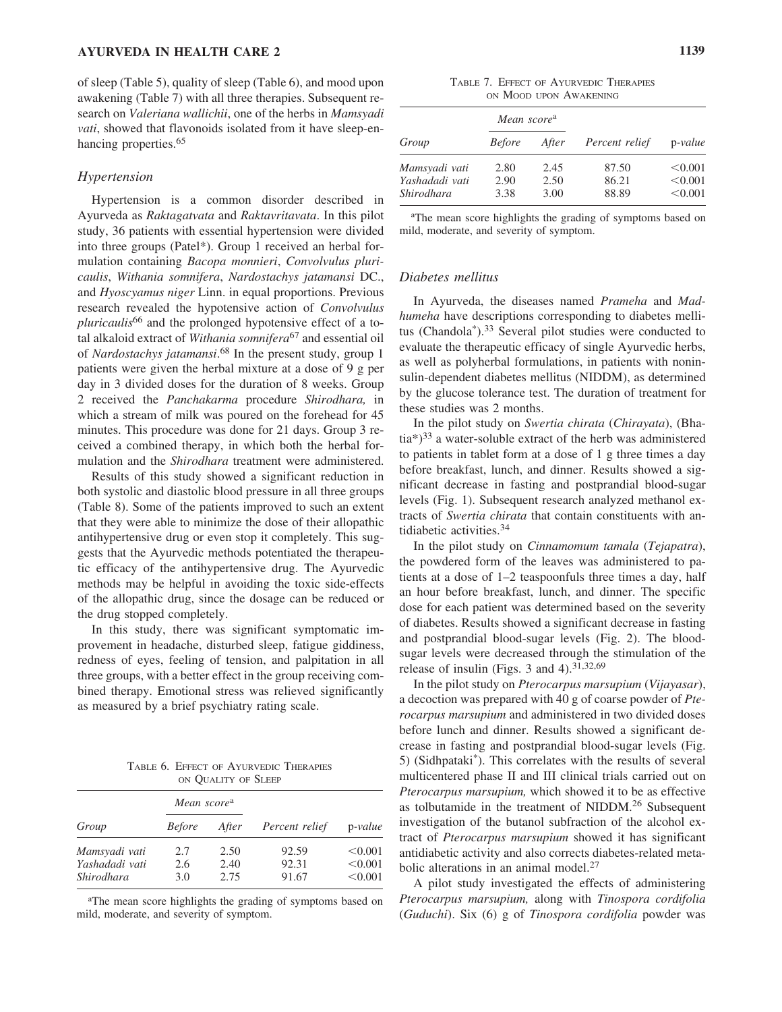of sleep (Table 5), quality of sleep (Table 6), and mood upon awakening (Table 7) with all three therapies. Subsequent research on *Valeriana wallichii*, one of the herbs in *Mamsyadi vati*, showed that flavonoids isolated from it have sleep-enhancing properties.<sup>65</sup>

#### *Hypertension*

Hypertension is a common disorder described in Ayurveda as *Raktagatvata* and *Raktavritavata*. In this pilot study, 36 patients with essential hypertension were divided into three groups (Patel\*). Group 1 received an herbal formulation containing *Bacopa monnieri*, *Convolvulus pluricaulis*, *Withania somnifera*, *Nardostachys jatamansi* DC., and *Hyoscyamus niger* Linn. in equal proportions. Previous research revealed the hypotensive action of *Convolvulus pluricaulis*<sup>66</sup> and the prolonged hypotensive effect of a total alkaloid extract of *Withania somnifera*<sup>67</sup> and essential oil of *Nardostachys jatamansi*. <sup>68</sup> In the present study, group 1 patients were given the herbal mixture at a dose of 9 g per day in 3 divided doses for the duration of 8 weeks. Group 2 received the *Panchakarma* procedure *Shirodhara,* in which a stream of milk was poured on the forehead for 45 minutes. This procedure was done for 21 days. Group 3 received a combined therapy, in which both the herbal formulation and the *Shirodhara* treatment were administered.

Results of this study showed a significant reduction in both systolic and diastolic blood pressure in all three groups (Table 8). Some of the patients improved to such an extent that they were able to minimize the dose of their allopathic antihypertensive drug or even stop it completely. This suggests that the Ayurvedic methods potentiated the therapeutic efficacy of the antihypertensive drug. The Ayurvedic methods may be helpful in avoiding the toxic side-effects of the allopathic drug, since the dosage can be reduced or the drug stopped completely.

In this study, there was significant symptomatic improvement in headache, disturbed sleep, fatigue giddiness, redness of eyes, feeling of tension, and palpitation in all three groups, with a better effect in the group receiving combined therapy. Emotional stress was relieved significantly as measured by a brief psychiatry rating scale.

TABLE 6. EFFECT OF AYURVEDIC THERAPIES ON QUALITY OF SLEEP

|                              | Mean score <sup>a</sup> |              |                |                    |
|------------------------------|-------------------------|--------------|----------------|--------------------|
| Group                        | <i>Before</i>           | After        | Percent relief | $p-value$          |
| Mamsyadi vati                | 2.7                     | 2.50         | 92.59          | < 0.001            |
| Yashadadi vati<br>Shirodhara | 2.6<br>3.0              | 2.40<br>2.75 | 92.31<br>91.67 | < 0.001<br>< 0.001 |

<sup>a</sup>The mean score highlights the grading of symptoms based on mild, moderate, and severity of symptom.

TABLE 7. EFFECT OF AYURVEDIC THERAPIES ON MOOD UPON AWAKENING

| Group          | Mean score <sup>a</sup> |       |                |           |
|----------------|-------------------------|-------|----------------|-----------|
|                | <b>Before</b>           | After | Percent relief | $p-value$ |
| Mamsyadi vati  | 2.80                    | 2.45  | 87.50          | < 0.001   |
| Yashadadi vati | 2.90                    | 2.50  | 86.21          | < 0.001   |
| Shirodhara     | 3.38                    | 3.00  | 88.89          | < 0.001   |

<sup>a</sup>The mean score highlights the grading of symptoms based on mild, moderate, and severity of symptom.

#### *Diabetes mellitus*

In Ayurveda, the diseases named *Prameha* and *Madhumeha* have descriptions corresponding to diabetes mellitus (Chandola<sup>\*</sup>).<sup>33</sup> Several pilot studies were conducted to evaluate the therapeutic efficacy of single Ayurvedic herbs, as well as polyherbal formulations, in patients with noninsulin-dependent diabetes mellitus (NIDDM), as determined by the glucose tolerance test. The duration of treatment for these studies was 2 months.

In the pilot study on *Swertia chirata* (*Chirayata*), (Bhatia\*)33 a water-soluble extract of the herb was administered to patients in tablet form at a dose of 1 g three times a day before breakfast, lunch, and dinner. Results showed a significant decrease in fasting and postprandial blood-sugar levels (Fig. 1). Subsequent research analyzed methanol extracts of *Swertia chirata* that contain constituents with antidiabetic activities.34

In the pilot study on *Cinnamomum tamala* (*Tejapatra*), the powdered form of the leaves was administered to patients at a dose of 1–2 teaspoonfuls three times a day, half an hour before breakfast, lunch, and dinner. The specific dose for each patient was determined based on the severity of diabetes. Results showed a significant decrease in fasting and postprandial blood-sugar levels (Fig. 2). The bloodsugar levels were decreased through the stimulation of the release of insulin (Figs. 3 and 4).<sup>31,32,69</sup>

In the pilot study on *Pterocarpus marsupium* (*Vijayasar*), a decoction was prepared with 40 g of coarse powder of *Pterocarpus marsupium* and administered in two divided doses before lunch and dinner. Results showed a significant decrease in fasting and postprandial blood-sugar levels (Fig. 5) (Sidhpataki\*). This correlates with the results of several multicentered phase II and III clinical trials carried out on *Pterocarpus marsupium,* which showed it to be as effective as tolbutamide in the treatment of NIDDM.26 Subsequent investigation of the butanol subfraction of the alcohol extract of *Pterocarpus marsupium* showed it has significant antidiabetic activity and also corrects diabetes-related metabolic alterations in an animal model.<sup>27</sup>

A pilot study investigated the effects of administering *Pterocarpus marsupium,* along with *Tinospora cordifolia* (*Guduchi*). Six (6) g of *Tinospora cordifolia* powder was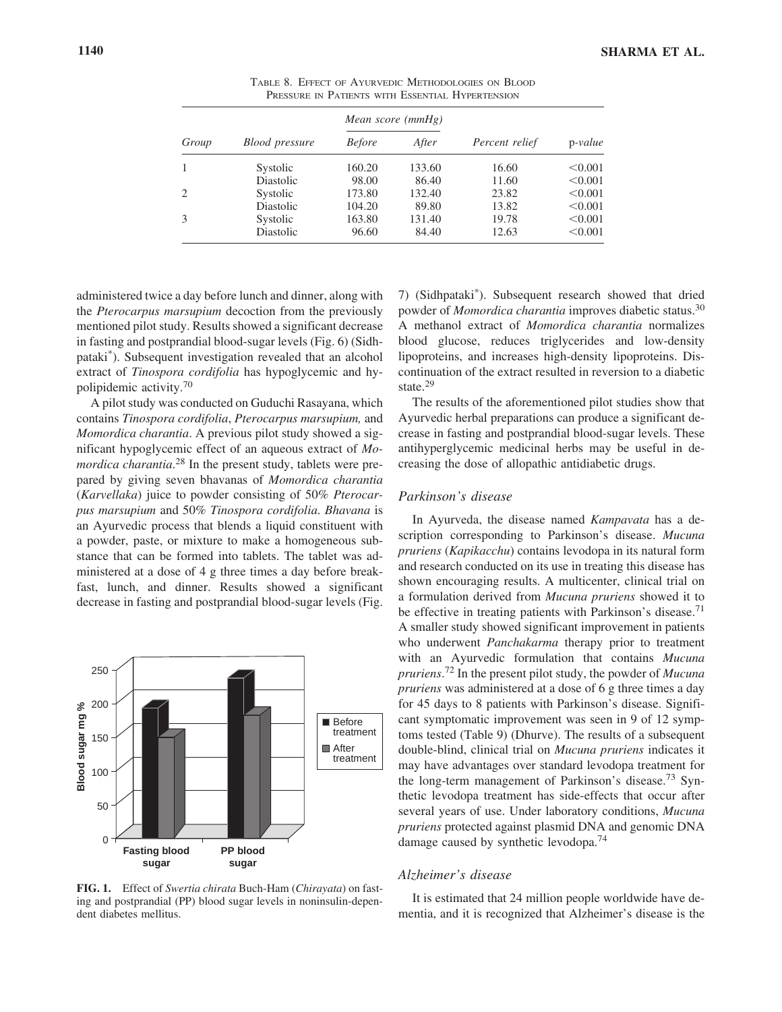| Group |                |               | Mean score (mmHg) | Percent relief | $p-value$ |
|-------|----------------|---------------|-------------------|----------------|-----------|
|       | Blood pressure | <i>Before</i> | After             |                |           |
|       | Systolic       | 160.20        | 133.60            | 16.60          | < 0.001   |
|       | Diastolic      | 98.00         | 86.40             | 11.60          | < 0.001   |
|       | Systolic       | 173.80        | 132.40            | 23.82          | < 0.001   |
|       | Diastolic      | 104.20        | 89.80             | 13.82          | < 0.001   |
|       | Systolic       | 163.80        | 131.40            | 19.78          | < 0.001   |
|       | Diastolic      | 96.60         | 84.40             | 12.63          | < 0.001   |

TABLE 8. EFFECT OF AYURVEDIC METHODOLOGIES ON BLOOD PRESSURE IN PATIENTS WITH ESSENTIAL HYPERTENSION

administered twice a day before lunch and dinner, along with the *Pterocarpus marsupium* decoction from the previously mentioned pilot study. Results showed a significant decrease in fasting and postprandial blood-sugar levels (Fig. 6) (Sidhpataki\*). Subsequent investigation revealed that an alcohol extract of *Tinospora cordifolia* has hypoglycemic and hypolipidemic activity.70

A pilot study was conducted on Guduchi Rasayana, which contains *Tinospora cordifolia*, *Pterocarpus marsupium,* and *Momordica charantia*. A previous pilot study showed a significant hypoglycemic effect of an aqueous extract of *Momordica charantia*. <sup>28</sup> In the present study, tablets were prepared by giving seven bhavanas of *Momordica charantia* (*Karvellaka*) juice to powder consisting of 50% *Pterocarpus marsupium* and 50% *Tinospora cordifolia*. *Bhavana* is an Ayurvedic process that blends a liquid constituent with a powder, paste, or mixture to make a homogeneous substance that can be formed into tablets. The tablet was administered at a dose of 4 g three times a day before breakfast, lunch, and dinner. Results showed a significant decrease in fasting and postprandial blood-sugar levels (Fig.



**FIG. 1.** Effect of *Swertia chirata* Buch-Ham (*Chirayata*) on fasting and postprandial (PP) blood sugar levels in noninsulin-dependent diabetes mellitus.

7) (Sidhpataki\*). Subsequent research showed that dried powder of *Momordica charantia* improves diabetic status.30 A methanol extract of *Momordica charantia* normalizes blood glucose, reduces triglycerides and low-density lipoproteins, and increases high-density lipoproteins. Discontinuation of the extract resulted in reversion to a diabetic state.<sup>29</sup>

The results of the aforementioned pilot studies show that Ayurvedic herbal preparations can produce a significant decrease in fasting and postprandial blood-sugar levels. These antihyperglycemic medicinal herbs may be useful in decreasing the dose of allopathic antidiabetic drugs.

#### *Parkinson's disease*

In Ayurveda, the disease named *Kampavata* has a description corresponding to Parkinson's disease. *Mucuna pruriens* (*Kapikacchu*) contains levodopa in its natural form and research conducted on its use in treating this disease has shown encouraging results. A multicenter, clinical trial on a formulation derived from *Mucuna pruriens* showed it to be effective in treating patients with Parkinson's disease.<sup>71</sup> A smaller study showed significant improvement in patients who underwent *Panchakarma* therapy prior to treatment with an Ayurvedic formulation that contains *Mucuna pruriens*. <sup>72</sup> In the present pilot study, the powder of *Mucuna pruriens* was administered at a dose of 6 g three times a day for 45 days to 8 patients with Parkinson's disease. Significant symptomatic improvement was seen in 9 of 12 symptoms tested (Table 9) (Dhurve). The results of a subsequent double-blind, clinical trial on *Mucuna pruriens* indicates it may have advantages over standard levodopa treatment for the long-term management of Parkinson's disease.<sup>73</sup> Synthetic levodopa treatment has side-effects that occur after several years of use. Under laboratory conditions, *Mucuna pruriens* protected against plasmid DNA and genomic DNA damage caused by synthetic levodopa.<sup>74</sup>

#### *Alzheimer's disease*

It is estimated that 24 million people worldwide have dementia, and it is recognized that Alzheimer's disease is the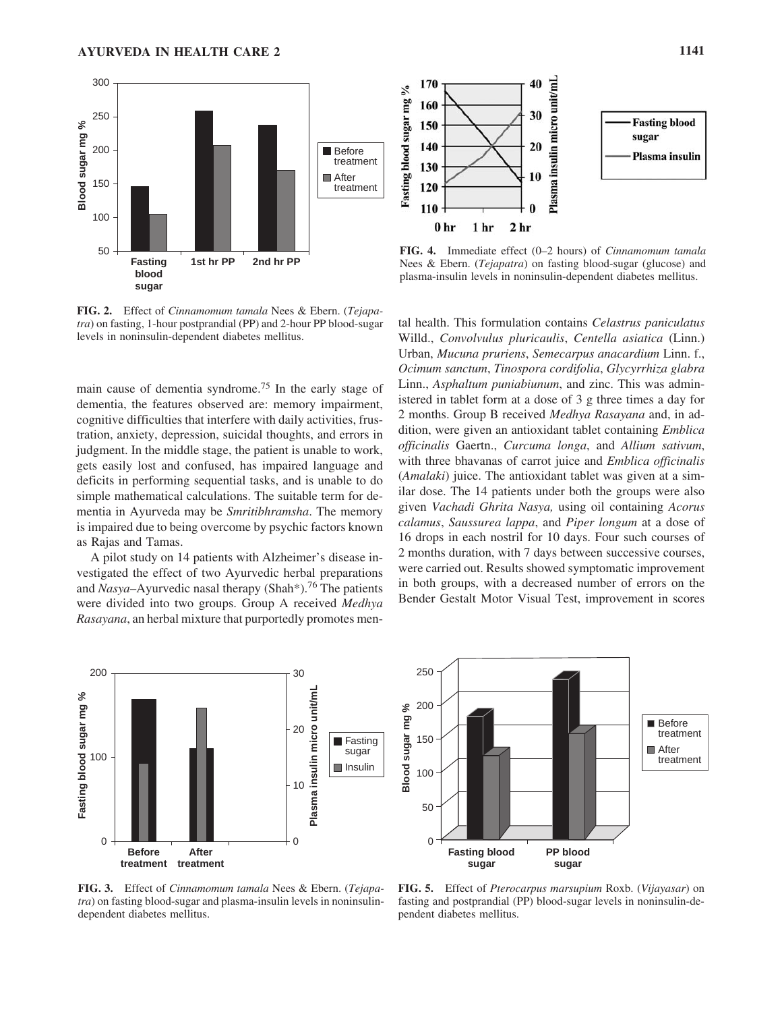

**FIG. 2.** Effect of *Cinnamomum tamala* Nees & Ebern. (*Tejapatra*) on fasting, 1-hour postprandial (PP) and 2-hour PP blood-sugar levels in noninsulin-dependent diabetes mellitus.

main cause of dementia syndrome.<sup>75</sup> In the early stage of dementia, the features observed are: memory impairment, cognitive difficulties that interfere with daily activities, frustration, anxiety, depression, suicidal thoughts, and errors in judgment. In the middle stage, the patient is unable to work, gets easily lost and confused, has impaired language and deficits in performing sequential tasks, and is unable to do simple mathematical calculations. The suitable term for dementia in Ayurveda may be *Smritibhramsha*. The memory is impaired due to being overcome by psychic factors known as Rajas and Tamas.

A pilot study on 14 patients with Alzheimer's disease investigated the effect of two Ayurvedic herbal preparations and *Nasya*–Ayurvedic nasal therapy (Shah<sup>\*</sup>).<sup>76</sup> The patients were divided into two groups. Group A received *Medhya Rasayana*, an herbal mixture that purportedly promotes men-



**FIG. 4.** Immediate effect (0–2 hours) of *Cinnamomum tamala* Nees & Ebern. (*Tejapatra*) on fasting blood-sugar (glucose) and plasma-insulin levels in noninsulin-dependent diabetes mellitus.

tal health. This formulation contains *Celastrus paniculatus* Willd., *Convolvulus pluricaulis*, *Centella asiatica* (Linn.) Urban, *Mucuna pruriens*, *Semecarpus anacardium* Linn. f., *Ocimum sanctum*, *Tinospora cordifolia*, *Glycyrrhiza glabra* Linn., *Asphaltum puniabiunum*, and zinc. This was administered in tablet form at a dose of 3 g three times a day for 2 months. Group B received *Medhya Rasayana* and, in addition, were given an antioxidant tablet containing *Emblica officinalis* Gaertn., *Curcuma longa*, and *Allium sativum*, with three bhavanas of carrot juice and *Emblica officinalis* (*Amalaki*) juice. The antioxidant tablet was given at a similar dose. The 14 patients under both the groups were also given *Vachadi Ghrita Nasya,* using oil containing *Acorus calamus*, *Saussurea lappa*, and *Piper longum* at a dose of 16 drops in each nostril for 10 days. Four such courses of 2 months duration, with 7 days between successive courses, were carried out. Results showed symptomatic improvement in both groups, with a decreased number of errors on the Bender Gestalt Motor Visual Test, improvement in scores





**FIG. 3.** Effect of *Cinnamomum tamala* Nees & Ebern. (*Tejapatra*) on fasting blood-sugar and plasma-insulin levels in noninsulindependent diabetes mellitus.

**FIG. 5.** Effect of *Pterocarpus marsupium* Roxb. (*Vijayasar*) on fasting and postprandial (PP) blood-sugar levels in noninsulin-dependent diabetes mellitus.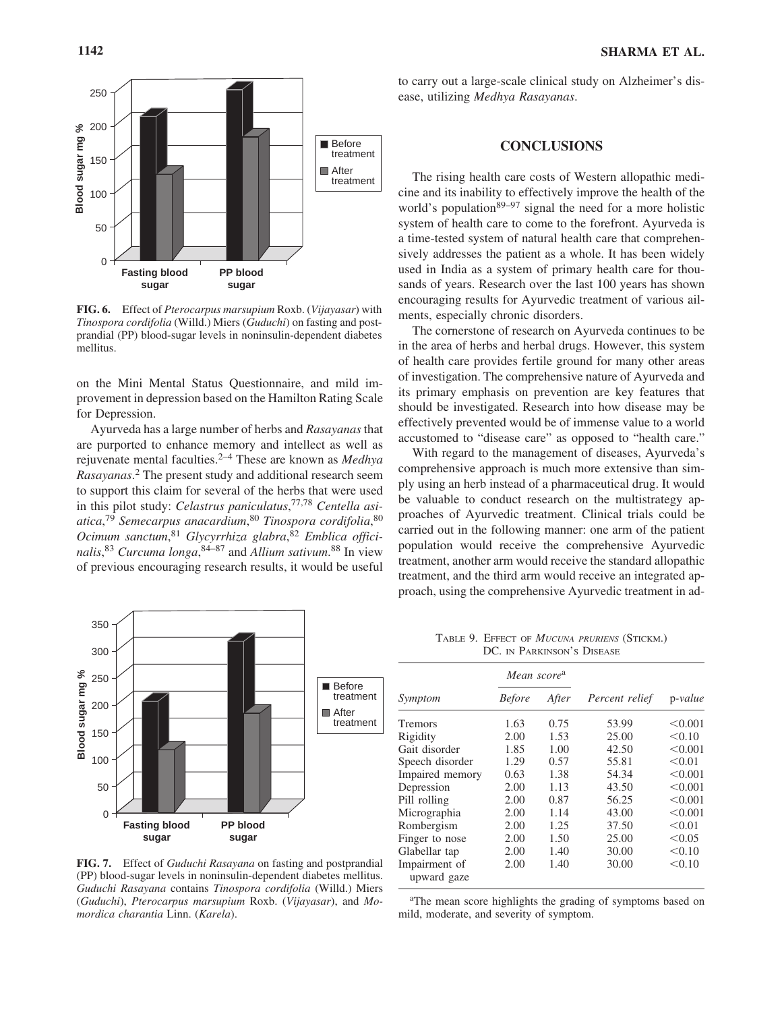

**FIG. 6.** Effect of *Pterocarpus marsupium* Roxb. (*Vijayasar*) with *Tinospora cordifolia* (Willd.) Miers (*Guduchi*) on fasting and postprandial (PP) blood-sugar levels in noninsulin-dependent diabetes mellitus.

on the Mini Mental Status Questionnaire, and mild improvement in depression based on the Hamilton Rating Scale for Depression.

Ayurveda has a large number of herbs and *Rasayanas* that are purported to enhance memory and intellect as well as rejuvenate mental faculties.2–4 These are known as *Medhya Rasayanas*. <sup>2</sup> The present study and additional research seem to support this claim for several of the herbs that were used in this pilot study: *Celastrus paniculatus*, 77,78 *Centella asiatica*, <sup>79</sup> *Semecarpus anacardium*, <sup>80</sup> *Tinospora cordifolia*, 80 *Ocimum sanctum*, <sup>81</sup> *Glycyrrhiza glabra*, <sup>82</sup> *Emblica officinalis*, <sup>83</sup> *Curcuma longa*, 84–87 and *Allium sativum*. <sup>88</sup> In view of previous encouraging research results, it would be useful



**FIG. 7.** Effect of *Guduchi Rasayana* on fasting and postprandial (PP) blood-sugar levels in noninsulin-dependent diabetes mellitus. *Guduchi Rasayana* contains *Tinospora cordifolia* (Willd.) Miers (*Guduchi*), *Pterocarpus marsupium* Roxb. (*Vijayasar*), and *Momordica charantia* Linn. (*Karela*).

to carry out a large-scale clinical study on Alzheimer's disease, utilizing *Medhya Rasayanas*.

#### **CONCLUSIONS**

The rising health care costs of Western allopathic medicine and its inability to effectively improve the health of the world's population<sup>89–97</sup> signal the need for a more holistic system of health care to come to the forefront. Ayurveda is a time-tested system of natural health care that comprehensively addresses the patient as a whole. It has been widely used in India as a system of primary health care for thousands of years. Research over the last 100 years has shown encouraging results for Ayurvedic treatment of various ailments, especially chronic disorders.

The cornerstone of research on Ayurveda continues to be in the area of herbs and herbal drugs. However, this system of health care provides fertile ground for many other areas of investigation. The comprehensive nature of Ayurveda and its primary emphasis on prevention are key features that should be investigated. Research into how disease may be effectively prevented would be of immense value to a world accustomed to "disease care" as opposed to "health care."

With regard to the management of diseases, Ayurveda's comprehensive approach is much more extensive than simply using an herb instead of a pharmaceutical drug. It would be valuable to conduct research on the multistrategy approaches of Ayurvedic treatment. Clinical trials could be carried out in the following manner: one arm of the patient population would receive the comprehensive Ayurvedic treatment, another arm would receive the standard allopathic treatment, and the third arm would receive an integrated approach, using the comprehensive Ayurvedic treatment in ad-

TABLE 9. EFFECT OF *MUCUNA PRURIENS* (STICKM.) DC. IN PARKINSON'S DISEASE

|                              | Mean score <sup>a</sup> |       |                |           |
|------------------------------|-------------------------|-------|----------------|-----------|
| Symptom                      | <b>Before</b>           | After | Percent relief | $p-value$ |
| <b>Tremors</b>               | 1.63                    | 0.75  | 53.99          | < 0.001   |
| Rigidity                     | 2.00                    | 1.53  | 25.00          | < 0.10    |
| Gait disorder                | 1.85                    | 1.00  | 42.50          | < 0.001   |
| Speech disorder              | 1.29                    | 0.57  | 55.81          | < 0.01    |
| Impaired memory              | 0.63                    | 1.38  | 54.34          | < 0.001   |
| Depression                   | 2.00                    | 1.13  | 43.50          | < 0.001   |
| Pill rolling                 | 2.00                    | 0.87  | 56.25          | < 0.001   |
| Micrographia                 | 2.00                    | 1.14  | 43.00          | < 0.001   |
| Rombergism                   | 2.00                    | 1.25  | 37.50          | < 0.01    |
| Finger to nose               | 2.00                    | 1.50  | 25.00          | < 0.05    |
| Glabellar tap                | 2.00                    | 1.40  | 30.00          | < 0.10    |
| Impairment of<br>upward gaze | 2.00                    | 1.40  | 30.00          | < 0.10    |

<sup>a</sup>The mean score highlights the grading of symptoms based on mild, moderate, and severity of symptom.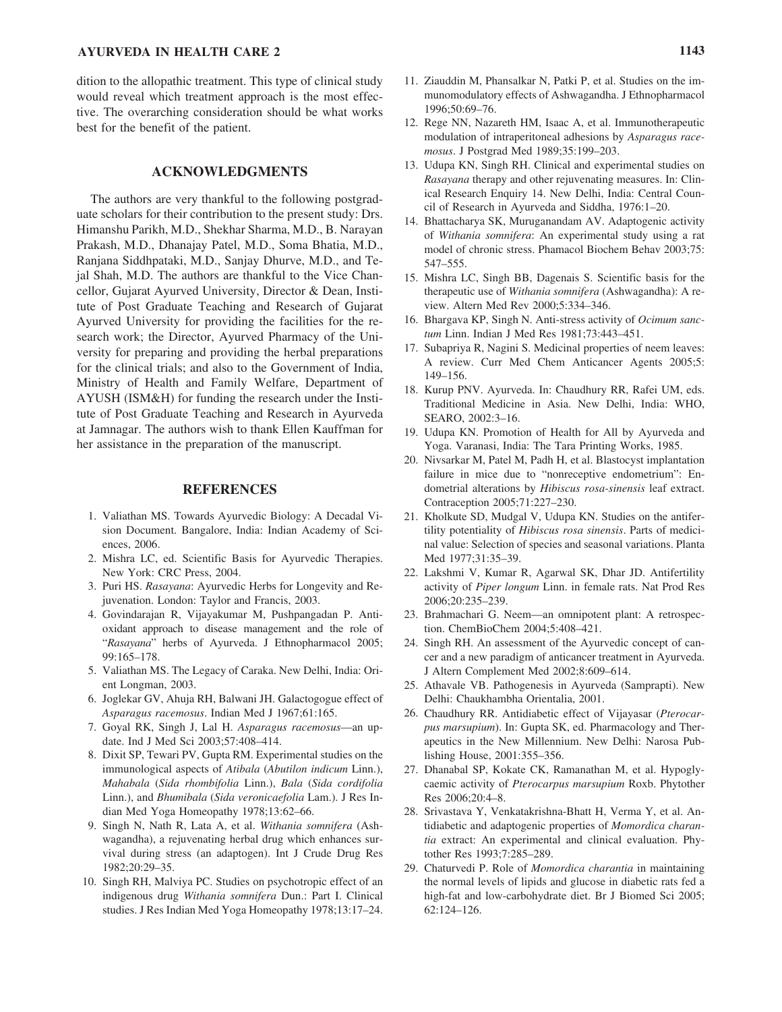## **AYURVEDA IN HEALTH CARE 2 1143**

dition to the allopathic treatment. This type of clinical study would reveal which treatment approach is the most effective. The overarching consideration should be what works best for the benefit of the patient.

#### **ACKNOWLEDGMENTS**

The authors are very thankful to the following postgraduate scholars for their contribution to the present study: Drs. Himanshu Parikh, M.D., Shekhar Sharma, M.D., B. Narayan Prakash, M.D., Dhanajay Patel, M.D., Soma Bhatia, M.D., Ranjana Siddhpataki, M.D., Sanjay Dhurve, M.D., and Tejal Shah, M.D. The authors are thankful to the Vice Chancellor, Gujarat Ayurved University, Director & Dean, Institute of Post Graduate Teaching and Research of Gujarat Ayurved University for providing the facilities for the research work; the Director, Ayurved Pharmacy of the University for preparing and providing the herbal preparations for the clinical trials; and also to the Government of India, Ministry of Health and Family Welfare, Department of AYUSH (ISM&H) for funding the research under the Institute of Post Graduate Teaching and Research in Ayurveda at Jamnagar. The authors wish to thank Ellen Kauffman for her assistance in the preparation of the manuscript.

#### **REFERENCES**

- 1. Valiathan MS. Towards Ayurvedic Biology: A Decadal Vision Document. Bangalore, India: Indian Academy of Sciences, 2006.
- 2. Mishra LC, ed. Scientific Basis for Ayurvedic Therapies. New York: CRC Press, 2004.
- 3. Puri HS. *Rasayana*: Ayurvedic Herbs for Longevity and Rejuvenation. London: Taylor and Francis, 2003.
- 4. Govindarajan R, Vijayakumar M, Pushpangadan P. Antioxidant approach to disease management and the role of "*Rasayana*" herbs of Ayurveda. J Ethnopharmacol 2005; 99:165–178.
- 5. Valiathan MS. The Legacy of Caraka. New Delhi, India: Orient Longman, 2003.
- 6. Joglekar GV, Ahuja RH, Balwani JH. Galactogogue effect of *Asparagus racemosus*. Indian Med J 1967;61:165.
- 7. Goyal RK, Singh J, Lal H. *Asparagus racemosus*—an update. Ind J Med Sci 2003;57:408–414.
- 8. Dixit SP, Tewari PV, Gupta RM. Experimental studies on the immunological aspects of *Atibala* (*Abutilon indicum* Linn.), *Mahabala* (*Sida rhombifolia* Linn.), *Bala* (*Sida cordifolia* Linn.), and *Bhumibala* (*Sida veronicaefolia* Lam.). J Res Indian Med Yoga Homeopathy 1978;13:62–66.
- 9. Singh N, Nath R, Lata A, et al. *Withania somnifera* (Ashwagandha), a rejuvenating herbal drug which enhances survival during stress (an adaptogen). Int J Crude Drug Res 1982;20:29–35.
- 10. Singh RH, Malviya PC. Studies on psychotropic effect of an indigenous drug *Withania somnifera* Dun.: Part I. Clinical studies. J Res Indian Med Yoga Homeopathy 1978;13:17–24.
- 11. Ziauddin M, Phansalkar N, Patki P, et al. Studies on the immunomodulatory effects of Ashwagandha. J Ethnopharmacol 1996;50:69–76.
- 12. Rege NN, Nazareth HM, Isaac A, et al. Immunotherapeutic modulation of intraperitoneal adhesions by *Asparagus racemosus*. J Postgrad Med 1989;35:199–203.
- 13. Udupa KN, Singh RH. Clinical and experimental studies on *Rasayana* therapy and other rejuvenating measures. In: Clinical Research Enquiry 14. New Delhi, India: Central Council of Research in Ayurveda and Siddha, 1976:1–20.
- 14. Bhattacharya SK, Muruganandam AV. Adaptogenic activity of *Withania somnifera*: An experimental study using a rat model of chronic stress. Phamacol Biochem Behav 2003;75: 547–555.
- 15. Mishra LC, Singh BB, Dagenais S. Scientific basis for the therapeutic use of *Withania somnifera* (Ashwagandha): A review. Altern Med Rev 2000;5:334–346.
- 16. Bhargava KP, Singh N. Anti-stress activity of *Ocimum sanctum* Linn. Indian J Med Res 1981;73:443–451.
- 17. Subapriya R, Nagini S. Medicinal properties of neem leaves: A review. Curr Med Chem Anticancer Agents 2005;5: 149–156.
- 18. Kurup PNV. Ayurveda. In: Chaudhury RR, Rafei UM, eds. Traditional Medicine in Asia. New Delhi, India: WHO, SEARO, 2002:3–16.
- 19. Udupa KN. Promotion of Health for All by Ayurveda and Yoga. Varanasi, India: The Tara Printing Works, 1985.
- 20. Nivsarkar M, Patel M, Padh H, et al. Blastocyst implantation failure in mice due to "nonreceptive endometrium": Endometrial alterations by *Hibiscus rosa-sinensis* leaf extract. Contraception 2005;71:227–230.
- 21. Kholkute SD, Mudgal V, Udupa KN. Studies on the antifertility potentiality of *Hibiscus rosa sinensis*. Parts of medicinal value: Selection of species and seasonal variations. Planta Med 1977;31:35–39.
- 22. Lakshmi V, Kumar R, Agarwal SK, Dhar JD. Antifertility activity of *Piper longum* Linn. in female rats. Nat Prod Res 2006;20:235–239.
- 23. Brahmachari G. Neem—an omnipotent plant: A retrospection. ChemBioChem 2004;5:408–421.
- 24. Singh RH. An assessment of the Ayurvedic concept of cancer and a new paradigm of anticancer treatment in Ayurveda. J Altern Complement Med 2002;8:609–614.
- 25. Athavale VB. Pathogenesis in Ayurveda (Samprapti). New Delhi: Chaukhambha Orientalia, 2001.
- 26. Chaudhury RR. Antidiabetic effect of Vijayasar (*Pterocarpus marsupium*). In: Gupta SK, ed. Pharmacology and Therapeutics in the New Millennium. New Delhi: Narosa Publishing House, 2001:355–356.
- 27. Dhanabal SP, Kokate CK, Ramanathan M, et al. Hypoglycaemic activity of *Pterocarpus marsupium* Roxb. Phytother Res 2006;20:4–8.
- 28. Srivastava Y, Venkatakrishna-Bhatt H, Verma Y, et al. Antidiabetic and adaptogenic properties of *Momordica charantia* extract: An experimental and clinical evaluation. Phytother Res 1993;7:285–289.
- 29. Chaturvedi P. Role of *Momordica charantia* in maintaining the normal levels of lipids and glucose in diabetic rats fed a high-fat and low-carbohydrate diet. Br J Biomed Sci 2005; 62:124–126.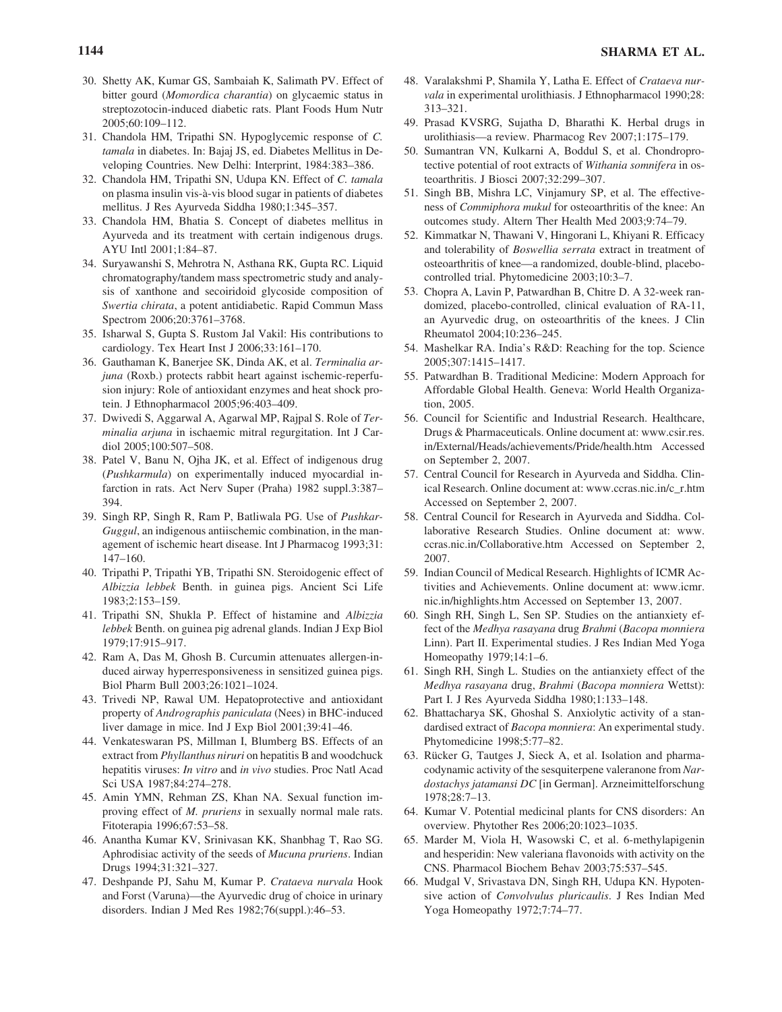- 30. Shetty AK, Kumar GS, Sambaiah K, Salimath PV. Effect of bitter gourd (*Momordica charantia*) on glycaemic status in streptozotocin-induced diabetic rats. Plant Foods Hum Nutr 2005;60:109–112.
- 31. Chandola HM, Tripathi SN. Hypoglycemic response of *C. tamala* in diabetes. In: Bajaj JS, ed. Diabetes Mellitus in Developing Countries. New Delhi: Interprint, 1984:383–386.
- 32. Chandola HM, Tripathi SN, Udupa KN. Effect of *C. tamala* on plasma insulin vis-à-vis blood sugar in patients of diabetes mellitus. J Res Ayurveda Siddha 1980;1:345–357.
- 33. Chandola HM, Bhatia S. Concept of diabetes mellitus in Ayurveda and its treatment with certain indigenous drugs. AYU Intl 2001;1:84–87.
- 34. Suryawanshi S, Mehrotra N, Asthana RK, Gupta RC. Liquid chromatography/tandem mass spectrometric study and analysis of xanthone and secoiridoid glycoside composition of *Swertia chirata*, a potent antidiabetic. Rapid Commun Mass Spectrom 2006;20:3761–3768.
- 35. Isharwal S, Gupta S. Rustom Jal Vakil: His contributions to cardiology. Tex Heart Inst J 2006;33:161–170.
- 36. Gauthaman K, Banerjee SK, Dinda AK, et al. *Terminalia arjuna* (Roxb.) protects rabbit heart against ischemic-reperfusion injury: Role of antioxidant enzymes and heat shock protein. J Ethnopharmacol 2005;96:403–409.
- 37. Dwivedi S, Aggarwal A, Agarwal MP, Rajpal S. Role of *Terminalia arjuna* in ischaemic mitral regurgitation. Int J Cardiol 2005;100:507–508.
- 38. Patel V, Banu N, Ojha JK, et al. Effect of indigenous drug (*Pushkarmula*) on experimentally induced myocardial infarction in rats. Act Nerv Super (Praha) 1982 suppl.3:387– 394.
- 39. Singh RP, Singh R, Ram P, Batliwala PG. Use of *Pushkar-Guggul*, an indigenous antiischemic combination, in the management of ischemic heart disease. Int J Pharmacog 1993;31: 147–160.
- 40. Tripathi P, Tripathi YB, Tripathi SN. Steroidogenic effect of *Albizzia lebbek* Benth. in guinea pigs. Ancient Sci Life 1983;2:153–159.
- 41. Tripathi SN, Shukla P. Effect of histamine and *Albizzia lebbek* Benth. on guinea pig adrenal glands. Indian J Exp Biol 1979;17:915–917.
- 42. Ram A, Das M, Ghosh B. Curcumin attenuates allergen-induced airway hyperresponsiveness in sensitized guinea pigs. Biol Pharm Bull 2003;26:1021–1024.
- 43. Trivedi NP, Rawal UM. Hepatoprotective and antioxidant property of *Andrographis paniculata* (Nees) in BHC-induced liver damage in mice. Ind J Exp Biol 2001;39:41–46.
- 44. Venkateswaran PS, Millman I, Blumberg BS. Effects of an extract from *Phyllanthus niruri* on hepatitis B and woodchuck hepatitis viruses: *In vitro* and *in vivo* studies. Proc Natl Acad Sci USA 1987;84:274–278.
- 45. Amin YMN, Rehman ZS, Khan NA. Sexual function improving effect of *M. pruriens* in sexually normal male rats. Fitoterapia 1996;67:53–58.
- 46. Anantha Kumar KV, Srinivasan KK, Shanbhag T, Rao SG. Aphrodisiac activity of the seeds of *Mucuna pruriens*. Indian Drugs 1994;31:321–327.
- 47. Deshpande PJ, Sahu M, Kumar P. *Crataeva nurvala* Hook and Forst (Varuna)—the Ayurvedic drug of choice in urinary disorders. Indian J Med Res 1982;76(suppl.):46–53.
- 48. Varalakshmi P, Shamila Y, Latha E. Effect of *Crataeva nurvala* in experimental urolithiasis. J Ethnopharmacol 1990;28: 313–321.
- 49. Prasad KVSRG, Sujatha D, Bharathi K. Herbal drugs in urolithiasis—a review. Pharmacog Rev 2007;1:175–179.
- 50. Sumantran VN, Kulkarni A, Boddul S, et al. Chondroprotective potential of root extracts of *Withania somnifera* in osteoarthritis. J Biosci 2007;32:299–307.
- 51. Singh BB, Mishra LC, Vinjamury SP, et al. The effectiveness of *Commiphora mukul* for osteoarthritis of the knee: An outcomes study. Altern Ther Health Med 2003;9:74–79.
- 52. Kimmatkar N, Thawani V, Hingorani L, Khiyani R. Efficacy and tolerability of *Boswellia serrata* extract in treatment of osteoarthritis of knee—a randomized, double-blind, placebocontrolled trial. Phytomedicine 2003;10:3–7.
- 53. Chopra A, Lavin P, Patwardhan B, Chitre D. A 32-week randomized, placebo-controlled, clinical evaluation of RA-11, an Ayurvedic drug, on osteoarthritis of the knees. J Clin Rheumatol 2004;10:236–245.
- 54. Mashelkar RA. India's R&D: Reaching for the top. Science 2005;307:1415–1417.
- 55. Patwardhan B. Traditional Medicine: Modern Approach for Affordable Global Health. Geneva: World Health Organization, 2005.
- 56. Council for Scientific and Industrial Research. Healthcare, Drugs & Pharmaceuticals. Online document at: www.csir.res. in/External/Heads/achievements/Pride/health.htm Accessed on September 2, 2007.
- 57. Central Council for Research in Ayurveda and Siddha. Clinical Research. Online document at: www.ccras.nic.in/c\_r.htm Accessed on September 2, 2007.
- 58. Central Council for Research in Ayurveda and Siddha. Collaborative Research Studies. Online document at: www. ccras.nic.in/Collaborative.htm Accessed on September 2, 2007.
- 59. Indian Council of Medical Research. Highlights of ICMR Activities and Achievements. Online document at: www.icmr. nic.in/highlights.htm Accessed on September 13, 2007.
- 60. Singh RH, Singh L, Sen SP. Studies on the antianxiety effect of the *Medhya rasayana* drug *Brahmi* (*Bacopa monniera* Linn). Part II. Experimental studies. J Res Indian Med Yoga Homeopathy 1979;14:1–6.
- 61. Singh RH, Singh L. Studies on the antianxiety effect of the *Medhya rasayana* drug, *Brahmi* (*Bacopa monniera* Wettst): Part I. J Res Ayurveda Siddha 1980;1:133–148.
- 62. Bhattacharya SK, Ghoshal S. Anxiolytic activity of a standardised extract of *Bacopa monniera*: An experimental study. Phytomedicine 1998;5:77–82.
- 63. Rücker G, Tautges J, Sieck A, et al. Isolation and pharmacodynamic activity of the sesquiterpene valeranone from *Nardostachys jatamansi DC* [in German]. Arzneimittelforschung 1978;28:7–13.
- 64. Kumar V. Potential medicinal plants for CNS disorders: An overview. Phytother Res 2006;20:1023–1035.
- 65. Marder M, Viola H, Wasowski C, et al. 6-methylapigenin and hesperidin: New valeriana flavonoids with activity on the CNS. Pharmacol Biochem Behav 2003;75:537–545.
- 66. Mudgal V, Srivastava DN, Singh RH, Udupa KN. Hypotensive action of *Convolvulus pluricaulis*. J Res Indian Med Yoga Homeopathy 1972;7:74–77.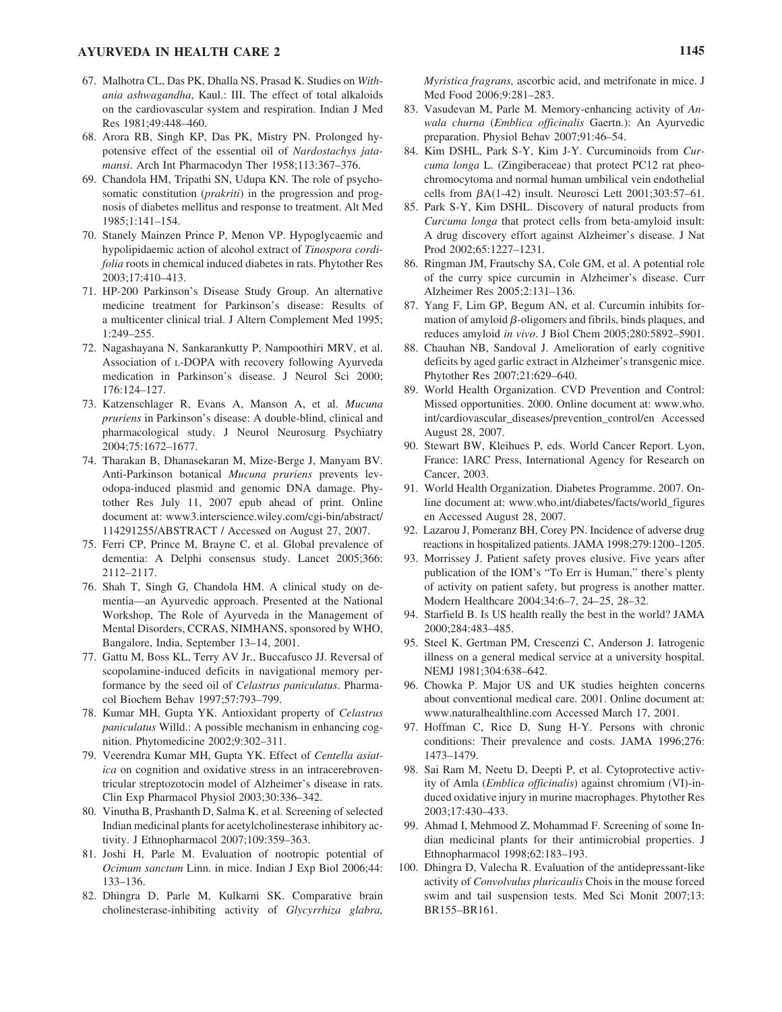## **AYURVEDA IN HEALTH CARE 2 1145**

- 67. Malhotra CL, Das PK, Dhalla NS, Prasad K. Studies on *Withania ashwagandha*, Kaul.: III. The effect of total alkaloids on the cardiovascular system and respiration. Indian J Med Res 1981;49:448–460.
- 68. Arora RB, Singh KP, Das PK, Mistry PN. Prolonged hypotensive effect of the essential oil of *Nardostachys jatamansi*. Arch Int Pharmacodyn Ther 1958;113:367–376.
- 69. Chandola HM, Tripathi SN, Udupa KN. The role of psychosomatic constitution (*prakriti*) in the progression and prognosis of diabetes mellitus and response to treatment. Alt Med 1985;1:141–154.
- 70. Stanely Mainzen Prince P, Menon VP. Hypoglycaemic and hypolipidaemic action of alcohol extract of *Tinospora cordifolia* roots in chemical induced diabetes in rats. Phytother Res 2003;17:410–413.
- 71. HP-200 Parkinson's Disease Study Group. An alternative medicine treatment for Parkinson's disease: Results of a multicenter clinical trial. J Altern Complement Med 1995; 1:249–255.
- 72. Nagashayana N, Sankarankutty P, Nampoothiri MRV, et al. Association of L-DOPA with recovery following Ayurveda medication in Parkinson's disease. J Neurol Sci 2000; 176:124–127.
- 73. Katzenschlager R, Evans A, Manson A, et al. *Mucuna pruriens* in Parkinson's disease: A double-blind, clinical and pharmacological study. J Neurol Neurosurg Psychiatry 2004;75:1672–1677.
- 74. Tharakan B, Dhanasekaran M, Mize-Berge J, Manyam BV. Anti-Parkinson botanical *Mucuna pruriens* prevents levodopa-induced plasmid and genomic DNA damage. Phytother Res July 11, 2007 epub ahead of print. Online document at: www3.interscience.wiley.com/cgi-bin/abstract/ 114291255/ABSTRACT / Accessed on August 27, 2007.
- 75. Ferri CP, Prince M, Brayne C, et al. Global prevalence of dementia: A Delphi consensus study. Lancet 2005;366: 2112–2117.
- 76. Shah T, Singh G, Chandola HM. A clinical study on dementia—an Ayurvedic approach. Presented at the National Workshop, The Role of Ayurveda in the Management of Mental Disorders, CCRAS, NIMHANS, sponsored by WHO, Bangalore, India, September 13–14, 2001.
- 77. Gattu M, Boss KL, Terry AV Jr., Buccafusco JJ. Reversal of scopolamine-induced deficits in navigational memory performance by the seed oil of *Celastrus paniculatus*. Pharmacol Biochem Behav 1997;57:793–799.
- 78. Kumar MH, Gupta YK. Antioxidant property of *Celastrus paniculatus* Willd.: A possible mechanism in enhancing cognition. Phytomedicine 2002;9:302–311.
- 79. Veerendra Kumar MH, Gupta YK. Effect of *Centella asiatica* on cognition and oxidative stress in an intracerebroventricular streptozotocin model of Alzheimer's disease in rats. Clin Exp Pharmacol Physiol 2003;30:336–342.
- 80. Vinutha B, Prashanth D, Salma K, et al. Screening of selected Indian medicinal plants for acetylcholinesterase inhibitory activity. J Ethnopharmacol 2007;109:359–363.
- 81. Joshi H, Parle M. Evaluation of nootropic potential of *Ocimum sanctum* Linn. in mice. Indian J Exp Biol 2006;44: 133–136.
- 82. Dhingra D, Parle M, Kulkarni SK. Comparative brain cholinesterase-inhibiting activity of *Glycyrrhiza glabra,*

*Myristica fragrans,* ascorbic acid, and metrifonate in mice. J Med Food 2006;9:281–283.

- 83. Vasudevan M, Parle M. Memory-enhancing activity of *Anwala churna* (*Emblica officinalis* Gaertn.): An Ayurvedic preparation. Physiol Behav 2007;91:46–54.
- 84. Kim DSHL, Park S-Y, Kim J-Y. Curcuminoids from *Curcuma longa* L. (Zingiberaceae) that protect PC12 rat pheochromocytoma and normal human umbilical vein endothelial cells from  $\beta$ A(1-42) insult. Neurosci Lett  $2001;303:57-61$ .
- 85. Park S-Y, Kim DSHL. Discovery of natural products from *Curcuma longa* that protect cells from beta-amyloid insult: A drug discovery effort against Alzheimer's disease. J Nat Prod 2002;65:1227–1231.
- 86. Ringman JM, Frautschy SA, Cole GM, et al. A potential role of the curry spice curcumin in Alzheimer's disease. Curr Alzheimer Res 2005;2:131–136.
- 87. Yang F, Lim GP, Begum AN, et al. Curcumin inhibits formation of amyloid  $\beta$ -oligomers and fibrils, binds plaques, and reduces amyloid *in vivo*. J Biol Chem 2005;280:5892–5901.
- 88. Chauhan NB, Sandoval J. Amelioration of early cognitive deficits by aged garlic extract in Alzheimer's transgenic mice. Phytother Res 2007;21:629–640.
- 89. World Health Organization. CVD Prevention and Control: Missed opportunities. 2000. Online document at: www.who. int/cardiovascular\_diseases/prevention\_control/en Accessed August 28, 2007.
- 90. Stewart BW, Kleihues P, eds. World Cancer Report. Lyon, France: IARC Press, International Agency for Research on Cancer, 2003.
- 91. World Health Organization. Diabetes Programme. 2007. Online document at: www.who.int/diabetes/facts/world\_figures en Accessed August 28, 2007.
- 92. Lazarou J, Pomeranz BH, Corey PN. Incidence of adverse drug reactions in hospitalized patients. JAMA 1998;279:1200–1205.
- 93. Morrissey J. Patient safety proves elusive. Five years after publication of the IOM's "To Err is Human," there's plenty of activity on patient safety, but progress is another matter. Modern Healthcare 2004;34:6–7, 24–25, 28–32.
- 94. Starfield B. Is US health really the best in the world? JAMA 2000;284:483–485.
- 95. Steel K, Gertman PM, Crescenzi C, Anderson J. Iatrogenic illness on a general medical service at a university hospital. NEMJ 1981;304:638–642.
- 96. Chowka P. Major US and UK studies heighten concerns about conventional medical care. 2001. Online document at: www.naturalhealthline.com Accessed March 17, 2001.
- 97. Hoffman C, Rice D, Sung H-Y. Persons with chronic conditions: Their prevalence and costs. JAMA 1996;276: 1473–1479.
- 98. Sai Ram M, Neetu D, Deepti P, et al. Cytoprotective activity of Amla (*Emblica officinalis*) against chromium (VI)-induced oxidative injury in murine macrophages. Phytother Res 2003;17:430–433.
- 99. Ahmad I, Mehmood Z, Mohammad F. Screening of some Indian medicinal plants for their antimicrobial properties. J Ethnopharmacol 1998;62:183–193.
- 100. Dhingra D, Valecha R. Evaluation of the antidepressant-like activity of *Convolvulus pluricaulis* Chois in the mouse forced swim and tail suspension tests. Med Sci Monit 2007;13: BR155–BR161.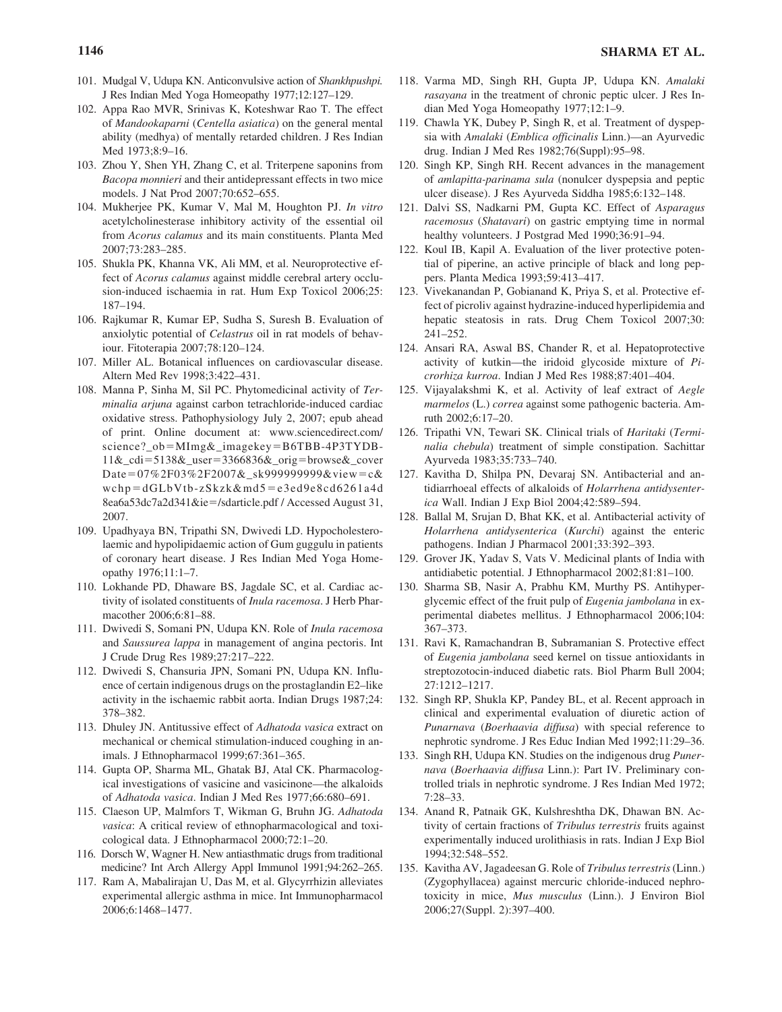- 101. Mudgal V, Udupa KN. Anticonvulsive action of *Shankhpushpi.* J Res Indian Med Yoga Homeopathy 1977;12:127–129.
- 102. Appa Rao MVR, Srinivas K, Koteshwar Rao T. The effect of *Mandookaparni* (*Centella asiatica*) on the general mental ability (medhya) of mentally retarded children. J Res Indian Med 1973;8:9–16.
- 103. Zhou Y, Shen YH, Zhang C, et al. Triterpene saponins from *Bacopa monnieri* and their antidepressant effects in two mice models. J Nat Prod 2007;70:652–655.
- 104. Mukherjee PK, Kumar V, Mal M, Houghton PJ. *In vitro* acetylcholinesterase inhibitory activity of the essential oil from *Acorus calamus* and its main constituents. Planta Med 2007;73:283–285.
- 105. Shukla PK, Khanna VK, Ali MM, et al. Neuroprotective effect of *Acorus calamus* against middle cerebral artery occlusion-induced ischaemia in rat. Hum Exp Toxicol 2006;25: 187–194.
- 106. Rajkumar R, Kumar EP, Sudha S, Suresh B. Evaluation of anxiolytic potential of *Celastrus* oil in rat models of behaviour. Fitoterapia 2007;78:120–124.
- 107. Miller AL. Botanical influences on cardiovascular disease. Altern Med Rev 1998;3:422–431.
- 108. Manna P, Sinha M, Sil PC. Phytomedicinal activity of *Terminalia arjuna* against carbon tetrachloride-induced cardiac oxidative stress. Pathophysiology July 2, 2007; epub ahead of print. Online document at: www.sciencedirect.com/ science?\_ob=MImg&\_imagekey=B6TBB-4P3TYDB-11&\_cdi=5138&\_user=3366836&\_orig=browse&\_cover Date=07%2F03%2F2007&\_sk999999999&view=c& wchp=dGLbVtb-zSkzk&md5=e3ed9e8cd6261a4d 8ea6a53dc7a2d341&ie=/sdarticle.pdf / Accessed August 31, 2007.
- 109. Upadhyaya BN, Tripathi SN, Dwivedi LD. Hypocholesterolaemic and hypolipidaemic action of Gum guggulu in patients of coronary heart disease. J Res Indian Med Yoga Homeopathy 1976;11:1–7.
- 110. Lokhande PD, Dhaware BS, Jagdale SC, et al. Cardiac activity of isolated constituents of *Inula racemosa*. J Herb Pharmacother 2006;6:81–88.
- 111. Dwivedi S, Somani PN, Udupa KN. Role of *Inula racemosa* and *Saussurea lappa* in management of angina pectoris. Int J Crude Drug Res 1989;27:217–222.
- 112. Dwivedi S, Chansuria JPN, Somani PN, Udupa KN. Influence of certain indigenous drugs on the prostaglandin E2–like activity in the ischaemic rabbit aorta. Indian Drugs 1987;24: 378–382.
- 113. Dhuley JN. Antitussive effect of *Adhatoda vasica* extract on mechanical or chemical stimulation-induced coughing in animals. J Ethnopharmacol 1999;67:361–365.
- 114. Gupta OP, Sharma ML, Ghatak BJ, Atal CK. Pharmacological investigations of vasicine and vasicinone—the alkaloids of *Adhatoda vasica*. Indian J Med Res 1977;66:680–691.
- 115. Claeson UP, Malmfors T, Wikman G, Bruhn JG. *Adhatoda vasica*: A critical review of ethnopharmacological and toxicological data. J Ethnopharmacol 2000;72:1–20.
- 116. Dorsch W, Wagner H. New antiasthmatic drugs from traditional medicine? Int Arch Allergy Appl Immunol 1991;94:262–265.
- 117. Ram A, Mabalirajan U, Das M, et al. Glycyrrhizin alleviates experimental allergic asthma in mice. Int Immunopharmacol 2006;6:1468–1477.
- 118. Varma MD, Singh RH, Gupta JP, Udupa KN. *Amalaki rasayana* in the treatment of chronic peptic ulcer. J Res Indian Med Yoga Homeopathy 1977;12:1–9.
- 119. Chawla YK, Dubey P, Singh R, et al. Treatment of dyspepsia with *Amalaki* (*Emblica officinalis* Linn.)—an Ayurvedic drug. Indian J Med Res 1982;76(Suppl):95–98.
- 120. Singh KP, Singh RH. Recent advances in the management of *amlapitta-parinama sula* (nonulcer dyspepsia and peptic ulcer disease). J Res Ayurveda Siddha 1985;6:132–148.
- 121. Dalvi SS, Nadkarni PM, Gupta KC. Effect of *Asparagus racemosus* (*Shatavari*) on gastric emptying time in normal healthy volunteers. J Postgrad Med 1990;36:91–94.
- 122. Koul IB, Kapil A. Evaluation of the liver protective potential of piperine, an active principle of black and long peppers. Planta Medica 1993;59:413–417.
- 123. Vivekanandan P, Gobianand K, Priya S, et al. Protective effect of picroliv against hydrazine-induced hyperlipidemia and hepatic steatosis in rats. Drug Chem Toxicol 2007;30: 241–252.
- 124. Ansari RA, Aswal BS, Chander R, et al. Hepatoprotective activity of kutkin—the iridoid glycoside mixture of *Picrorhiza kurroa*. Indian J Med Res 1988;87:401–404.
- 125. Vijayalakshmi K, et al. Activity of leaf extract of *Aegle marmelos* (L.) *correa* against some pathogenic bacteria. Amruth 2002;6:17–20.
- 126. Tripathi VN, Tewari SK. Clinical trials of *Haritaki* (*Terminalia chebula*) treatment of simple constipation. Sachittar Ayurveda 1983;35:733–740.
- 127. Kavitha D, Shilpa PN, Devaraj SN. Antibacterial and antidiarrhoeal effects of alkaloids of *Holarrhena antidysenterica* Wall. Indian J Exp Biol 2004;42:589–594.
- 128. Ballal M, Srujan D, Bhat KK, et al. Antibacterial activity of *Holarrhena antidysenterica* (*Kurchi*) against the enteric pathogens. Indian J Pharmacol 2001;33:392–393.
- 129. Grover JK, Yadav S, Vats V. Medicinal plants of India with antidiabetic potential. J Ethnopharmacol 2002;81:81–100.
- 130. Sharma SB, Nasir A, Prabhu KM, Murthy PS. Antihyperglycemic effect of the fruit pulp of *Eugenia jambolana* in experimental diabetes mellitus. J Ethnopharmacol 2006;104: 367–373.
- 131. Ravi K, Ramachandran B, Subramanian S. Protective effect of *Eugenia jambolana* seed kernel on tissue antioxidants in streptozotocin-induced diabetic rats. Biol Pharm Bull 2004; 27:1212–1217.
- 132. Singh RP, Shukla KP, Pandey BL, et al. Recent approach in clinical and experimental evaluation of diuretic action of *Punarnava* (*Boerhaavia diffusa*) with special reference to nephrotic syndrome. J Res Educ Indian Med 1992;11:29–36.
- 133. Singh RH, Udupa KN. Studies on the indigenous drug *Punernava* (*Boerhaavia diffusa* Linn.): Part IV. Preliminary controlled trials in nephrotic syndrome. J Res Indian Med 1972; 7:28–33.
- 134. Anand R, Patnaik GK, Kulshreshtha DK, Dhawan BN. Activity of certain fractions of *Tribulus terrestris* fruits against experimentally induced urolithiasis in rats. Indian J Exp Biol 1994;32:548–552.
- 135. Kavitha AV, Jagadeesan G. Role of *Tribulus terrestris*(Linn.) (Zygophyllacea) against mercuric chloride-induced nephrotoxicity in mice, *Mus musculus* (Linn.). J Environ Biol 2006;27(Suppl. 2):397–400.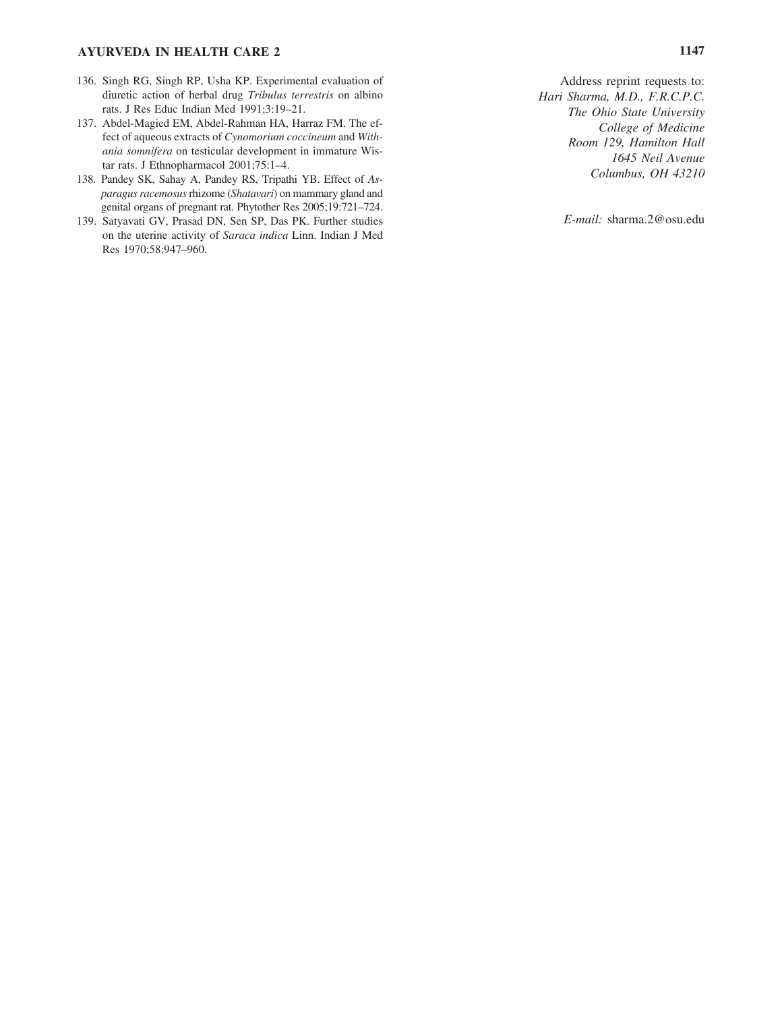## **AYURVEDA IN HEALTH CARE 2 1147**

- 136. Singh RG, Singh RP, Usha KP. Experimental evaluation of diuretic action of herbal drug *Tribulus terrestris* on albino rats. J Res Educ Indian Med 1991;3:19–21.
- 137. Abdel-Magied EM, Abdel-Rahman HA, Harraz FM. The effect of aqueous extracts of *Cynomorium coccineum* and *Withania somnifera* on testicular development in immature Wistar rats. J Ethnopharmacol 2001;75:1–4.
- 138. Pandey SK, Sahay A, Pandey RS, Tripathi YB. Effect of *Asparagus racemosus*rhizome (*Shatavari*) on mammary gland and genital organs of pregnant rat. Phytother Res 2005;19:721–724.
- 139. Satyavati GV, Prasad DN, Sen SP, Das PK. Further studies on the uterine activity of *Saraca indica* Linn. Indian J Med Res 1970;58:947–960.

```
Address reprint requests to:
Hari Sharma, M.D., F.R.C.P.C.
     The Ohio State University 
          College of Medicine
     Room 129, Hamilton Hall
             1645 Neil Avenue
         Columbus, OH 43210
```
*E-mail:* sharma.2@osu.edu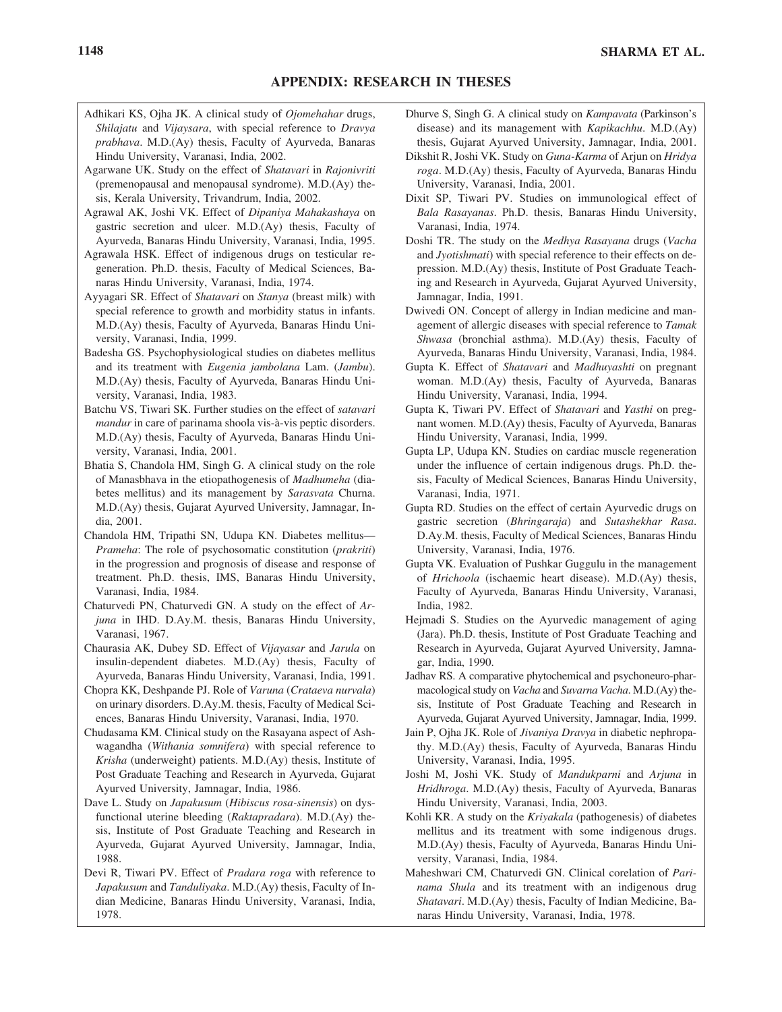- Adhikari KS, Ojha JK. A clinical study of *Ojomehahar* drugs, *Shilajatu* and *Vijaysara*, with special reference to *Dravya prabhava*. M.D.(Ay) thesis, Faculty of Ayurveda, Banaras Hindu University, Varanasi, India, 2002.
- Agarwane UK. Study on the effect of *Shatavari* in *Rajonivriti* (premenopausal and menopausal syndrome). M.D.(Ay) thesis, Kerala University, Trivandrum, India, 2002.
- Agrawal AK, Joshi VK. Effect of *Dipaniya Mahakashaya* on gastric secretion and ulcer. M.D.(Ay) thesis, Faculty of Ayurveda, Banaras Hindu University, Varanasi, India, 1995.
- Agrawala HSK. Effect of indigenous drugs on testicular regeneration. Ph.D. thesis, Faculty of Medical Sciences, Banaras Hindu University, Varanasi, India, 1974.
- Ayyagari SR. Effect of *Shatavari* on *Stanya* (breast milk) with special reference to growth and morbidity status in infants. M.D.(Ay) thesis, Faculty of Ayurveda, Banaras Hindu University, Varanasi, India, 1999.
- Badesha GS. Psychophysiological studies on diabetes mellitus and its treatment with *Eugenia jambolana* Lam. (*Jambu*). M.D.(Ay) thesis, Faculty of Ayurveda, Banaras Hindu University, Varanasi, India, 1983.
- Batchu VS, Tiwari SK. Further studies on the effect of *satavari mandur* in care of parinama shoola vis-à-vis peptic disorders. M.D.(Ay) thesis, Faculty of Ayurveda, Banaras Hindu University, Varanasi, India, 2001.
- Bhatia S, Chandola HM, Singh G. A clinical study on the role of Manasbhava in the etiopathogenesis of *Madhumeha* (diabetes mellitus) and its management by *Sarasvata* Churna. M.D.(Ay) thesis, Gujarat Ayurved University, Jamnagar, India, 2001.
- Chandola HM, Tripathi SN, Udupa KN. Diabetes mellitus— *Prameha*: The role of psychosomatic constitution (*prakriti*) in the progression and prognosis of disease and response of treatment. Ph.D. thesis, IMS, Banaras Hindu University, Varanasi, India, 1984.
- Chaturvedi PN, Chaturvedi GN. A study on the effect of *Arjuna* in IHD. D.Ay.M. thesis, Banaras Hindu University, Varanasi, 1967.
- Chaurasia AK, Dubey SD. Effect of *Vijayasar* and *Jarula* on insulin-dependent diabetes. M.D.(Ay) thesis, Faculty of Ayurveda, Banaras Hindu University, Varanasi, India, 1991.
- Chopra KK, Deshpande PJ. Role of *Varuna* (*Crataeva nurvala*) on urinary disorders. D.Ay.M. thesis, Faculty of Medical Sciences, Banaras Hindu University, Varanasi, India, 1970.
- Chudasama KM. Clinical study on the Rasayana aspect of Ashwagandha (*Withania somnifera*) with special reference to *Krisha* (underweight) patients. M.D.(Ay) thesis, Institute of Post Graduate Teaching and Research in Ayurveda, Gujarat Ayurved University, Jamnagar, India, 1986.
- Dave L. Study on *Japakusum* (*Hibiscus rosa-sinensis*) on dysfunctional uterine bleeding (*Raktapradara*). M.D.(Ay) thesis, Institute of Post Graduate Teaching and Research in Ayurveda, Gujarat Ayurved University, Jamnagar, India, 1988.
- Devi R, Tiwari PV. Effect of *Pradara roga* with reference to *Japakusum* and *Tanduliyaka*. M.D.(Ay) thesis, Faculty of Indian Medicine, Banaras Hindu University, Varanasi, India, 1978.
- Dhurve S, Singh G. A clinical study on *Kampavata* (Parkinson's disease) and its management with *Kapikachhu*. M.D.(Ay) thesis, Gujarat Ayurved University, Jamnagar, India, 2001.
- Dikshit R, Joshi VK. Study on *Guna-Karma* of Arjun on *Hridya roga*. M.D.(Ay) thesis, Faculty of Ayurveda, Banaras Hindu University, Varanasi, India, 2001.
- Dixit SP, Tiwari PV. Studies on immunological effect of *Bala Rasayanas*. Ph.D. thesis, Banaras Hindu University, Varanasi, India, 1974.
- Doshi TR. The study on the *Medhya Rasayana* drugs (*Vacha* and *Jyotishmati*) with special reference to their effects on depression. M.D.(Ay) thesis, Institute of Post Graduate Teaching and Research in Ayurveda, Gujarat Ayurved University, Jamnagar, India, 1991.
- Dwivedi ON. Concept of allergy in Indian medicine and management of allergic diseases with special reference to *Tamak Shwasa* (bronchial asthma). M.D.(Ay) thesis, Faculty of Ayurveda, Banaras Hindu University, Varanasi, India, 1984.
- Gupta K. Effect of *Shatavari* and *Madhuyashti* on pregnant woman. M.D.(Ay) thesis, Faculty of Ayurveda, Banaras Hindu University, Varanasi, India, 1994.
- Gupta K, Tiwari PV. Effect of *Shatavari* and *Yasthi* on pregnant women. M.D.(Ay) thesis, Faculty of Ayurveda, Banaras Hindu University, Varanasi, India, 1999.
- Gupta LP, Udupa KN. Studies on cardiac muscle regeneration under the influence of certain indigenous drugs. Ph.D. thesis, Faculty of Medical Sciences, Banaras Hindu University, Varanasi, India, 1971.
- Gupta RD. Studies on the effect of certain Ayurvedic drugs on gastric secretion (*Bhringaraja*) and *Sutashekhar Rasa*. D.Ay.M. thesis, Faculty of Medical Sciences, Banaras Hindu University, Varanasi, India, 1976.
- Gupta VK. Evaluation of Pushkar Guggulu in the management of *Hrichoola* (ischaemic heart disease). M.D.(Ay) thesis, Faculty of Ayurveda, Banaras Hindu University, Varanasi, India, 1982.
- Hejmadi S. Studies on the Ayurvedic management of aging (Jara). Ph.D. thesis, Institute of Post Graduate Teaching and Research in Ayurveda, Gujarat Ayurved University, Jamnagar, India, 1990.
- Jadhav RS. A comparative phytochemical and psychoneuro-pharmacological study on *Vacha* and *Suvarna Vacha*. M.D.(Ay) thesis, Institute of Post Graduate Teaching and Research in Ayurveda, Gujarat Ayurved University, Jamnagar, India, 1999.
- Jain P, Ojha JK. Role of *Jivaniya Dravya* in diabetic nephropathy. M.D.(Ay) thesis, Faculty of Ayurveda, Banaras Hindu University, Varanasi, India, 1995.
- Joshi M, Joshi VK. Study of *Mandukparni* and *Arjuna* in *Hridhroga*. M.D.(Ay) thesis, Faculty of Ayurveda, Banaras Hindu University, Varanasi, India, 2003.
- Kohli KR. A study on the *Kriyakala* (pathogenesis) of diabetes mellitus and its treatment with some indigenous drugs. M.D.(Ay) thesis, Faculty of Ayurveda, Banaras Hindu University, Varanasi, India, 1984.
- Maheshwari CM, Chaturvedi GN. Clinical corelation of *Parinama Shula* and its treatment with an indigenous drug *Shatavari*. M.D.(Ay) thesis, Faculty of Indian Medicine, Banaras Hindu University, Varanasi, India, 1978.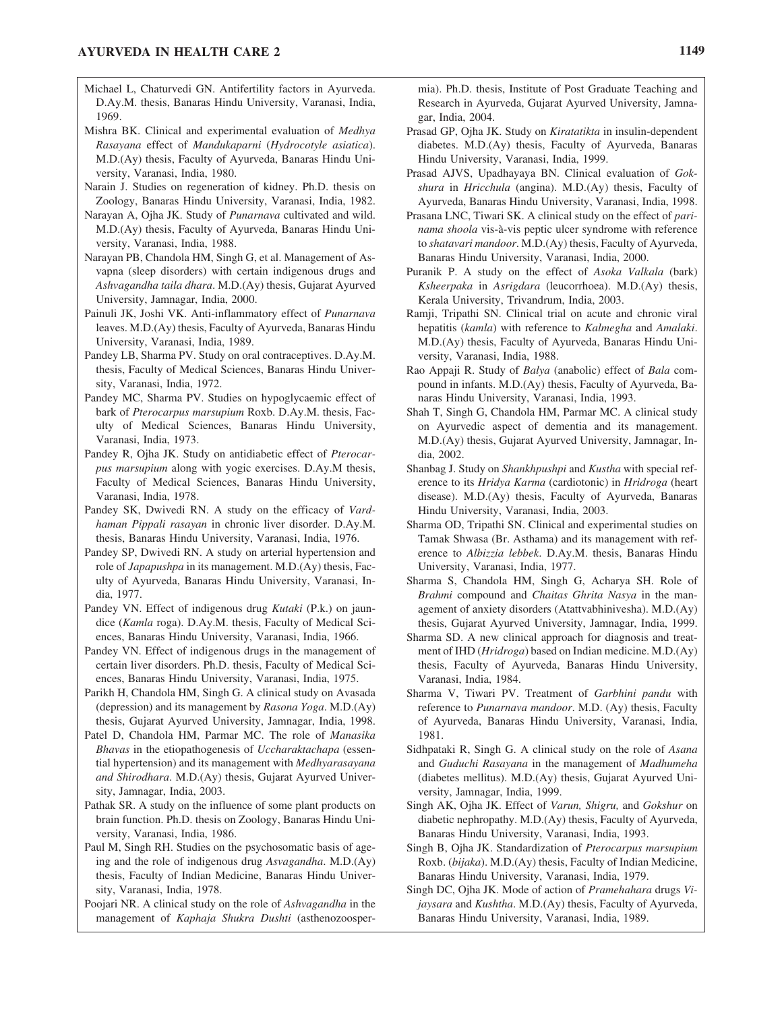- Michael L, Chaturvedi GN. Antifertility factors in Ayurveda. D.Ay.M. thesis, Banaras Hindu University, Varanasi, India, 1969.
- Mishra BK. Clinical and experimental evaluation of *Medhya Rasayana* effect of *Mandukaparni* (*Hydrocotyle asiatica*). M.D.(Ay) thesis, Faculty of Ayurveda, Banaras Hindu University, Varanasi, India, 1980.
- Narain J. Studies on regeneration of kidney. Ph.D. thesis on Zoology, Banaras Hindu University, Varanasi, India, 1982.
- Narayan A, Ojha JK. Study of *Punarnava* cultivated and wild. M.D.(Ay) thesis, Faculty of Ayurveda, Banaras Hindu University, Varanasi, India, 1988.
- Narayan PB, Chandola HM, Singh G, et al. Management of Asvapna (sleep disorders) with certain indigenous drugs and *Ashvagandha taila dhara*. M.D.(Ay) thesis, Gujarat Ayurved University, Jamnagar, India, 2000.
- Painuli JK, Joshi VK. Anti-inflammatory effect of *Punarnava* leaves. M.D.(Ay) thesis, Faculty of Ayurveda, Banaras Hindu University, Varanasi, India, 1989.
- Pandey LB, Sharma PV. Study on oral contraceptives. D.Ay.M. thesis, Faculty of Medical Sciences, Banaras Hindu University, Varanasi, India, 1972.
- Pandey MC, Sharma PV. Studies on hypoglycaemic effect of bark of *Pterocarpus marsupium* Roxb. D.Ay.M. thesis, Faculty of Medical Sciences, Banaras Hindu University, Varanasi, India, 1973.
- Pandey R, Ojha JK. Study on antidiabetic effect of *Pterocarpus marsupium* along with yogic exercises. D.Ay.M thesis, Faculty of Medical Sciences, Banaras Hindu University, Varanasi, India, 1978.
- Pandey SK, Dwivedi RN. A study on the efficacy of *Vardhaman Pippali rasayan* in chronic liver disorder. D.Ay.M. thesis, Banaras Hindu University, Varanasi, India, 1976.
- Pandey SP, Dwivedi RN. A study on arterial hypertension and role of *Japapushpa* in its management. M.D.(Ay) thesis, Faculty of Ayurveda, Banaras Hindu University, Varanasi, India, 1977.
- Pandey VN. Effect of indigenous drug *Kutaki* (P.k.) on jaundice (*Kamla* roga). D.Ay.M. thesis, Faculty of Medical Sciences, Banaras Hindu University, Varanasi, India, 1966.
- Pandey VN. Effect of indigenous drugs in the management of certain liver disorders. Ph.D. thesis, Faculty of Medical Sciences, Banaras Hindu University, Varanasi, India, 1975.
- Parikh H, Chandola HM, Singh G. A clinical study on Avasada (depression) and its management by *Rasona Yoga*. M.D.(Ay) thesis, Gujarat Ayurved University, Jamnagar, India, 1998.
- Patel D, Chandola HM, Parmar MC. The role of *Manasika Bhavas* in the etiopathogenesis of *Uccharaktachapa* (essential hypertension) and its management with *Medhyarasayana and Shirodhara*. M.D.(Ay) thesis, Gujarat Ayurved University, Jamnagar, India, 2003.
- Pathak SR. A study on the influence of some plant products on brain function. Ph.D. thesis on Zoology, Banaras Hindu University, Varanasi, India, 1986.
- Paul M, Singh RH. Studies on the psychosomatic basis of ageing and the role of indigenous drug *Asvagandha*. M.D.(Ay) thesis, Faculty of Indian Medicine, Banaras Hindu University, Varanasi, India, 1978.
- Poojari NR. A clinical study on the role of *Ashvagandha* in the management of *Kaphaja Shukra Dushti* (asthenozoosper-

mia). Ph.D. thesis, Institute of Post Graduate Teaching and Research in Ayurveda, Gujarat Ayurved University, Jamnagar, India, 2004.

- Prasad GP, Ojha JK. Study on *Kiratatikta* in insulin-dependent diabetes. M.D.(Ay) thesis, Faculty of Ayurveda, Banaras Hindu University, Varanasi, India, 1999.
- Prasad AJVS, Upadhayaya BN. Clinical evaluation of *Gokshura* in *Hricchula* (angina). M.D.(Ay) thesis, Faculty of Ayurveda, Banaras Hindu University, Varanasi, India, 1998.
- Prasana LNC, Tiwari SK. A clinical study on the effect of *parinama shoola* vis-à-vis peptic ulcer syndrome with reference to *shatavari mandoor*. M.D.(Ay) thesis, Faculty of Ayurveda, Banaras Hindu University, Varanasi, India, 2000.
- Puranik P. A study on the effect of *Asoka Valkala* (bark) *Ksheerpaka* in *Asrigdara* (leucorrhoea). M.D.(Ay) thesis, Kerala University, Trivandrum, India, 2003.
- Ramji, Tripathi SN. Clinical trial on acute and chronic viral hepatitis (*kamla*) with reference to *Kalmegha* and *Amalaki*. M.D.(Ay) thesis, Faculty of Ayurveda, Banaras Hindu University, Varanasi, India, 1988.
- Rao Appaji R. Study of *Balya* (anabolic) effect of *Bala* compound in infants. M.D.(Ay) thesis, Faculty of Ayurveda, Banaras Hindu University, Varanasi, India, 1993.
- Shah T, Singh G, Chandola HM, Parmar MC. A clinical study on Ayurvedic aspect of dementia and its management. M.D.(Ay) thesis, Gujarat Ayurved University, Jamnagar, India, 2002.
- Shanbag J. Study on *Shankhpushpi* and *Kustha* with special reference to its *Hridya Karma* (cardiotonic) in *Hridroga* (heart disease). M.D.(Ay) thesis, Faculty of Ayurveda, Banaras Hindu University, Varanasi, India, 2003.
- Sharma OD, Tripathi SN. Clinical and experimental studies on Tamak Shwasa (Br. Asthama) and its management with reference to *Albizzia lebbek*. D.Ay.M. thesis, Banaras Hindu University, Varanasi, India, 1977.
- Sharma S, Chandola HM, Singh G, Acharya SH. Role of *Brahmi* compound and *Chaitas Ghrita Nasya* in the management of anxiety disorders (Atattvabhinivesha). M.D.(Ay) thesis, Gujarat Ayurved University, Jamnagar, India, 1999.
- Sharma SD. A new clinical approach for diagnosis and treatment of IHD (*Hridroga*) based on Indian medicine. M.D.(Ay) thesis, Faculty of Ayurveda, Banaras Hindu University, Varanasi, India, 1984.
- Sharma V, Tiwari PV. Treatment of *Garbhini pandu* with reference to *Punarnava mandoor*. M.D. (Ay) thesis, Faculty of Ayurveda, Banaras Hindu University, Varanasi, India, 1981.
- Sidhpataki R, Singh G. A clinical study on the role of *Asana* and *Guduchi Rasayana* in the management of *Madhumeha* (diabetes mellitus). M.D.(Ay) thesis, Gujarat Ayurved University, Jamnagar, India, 1999.
- Singh AK, Ojha JK. Effect of *Varun, Shigru,* and *Gokshur* on diabetic nephropathy. M.D.(Ay) thesis, Faculty of Ayurveda, Banaras Hindu University, Varanasi, India, 1993.
- Singh B, Ojha JK. Standardization of *Pterocarpus marsupium* Roxb. (*bijaka*). M.D.(Ay) thesis, Faculty of Indian Medicine, Banaras Hindu University, Varanasi, India, 1979.
- Singh DC, Ojha JK. Mode of action of *Pramehahara* drugs *Vijaysara* and *Kushtha*. M.D.(Ay) thesis, Faculty of Ayurveda, Banaras Hindu University, Varanasi, India, 1989.